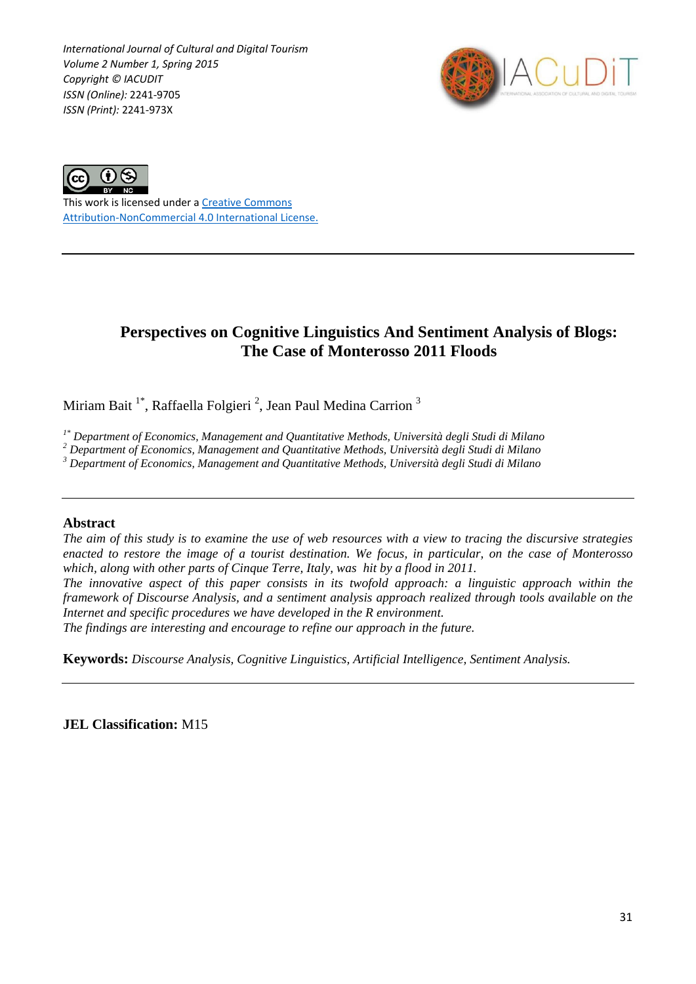*International Journal of Cultural and Digital Tourism Volume 2 Number 1, Spring 2015 Copyright © IACUDIT ISSN (Online):* 2241-9705 *ISSN (Print):* 2241-973X





This work is licensed under a [Creative Commons](http://creativecommons.org/licenses/by-nc/4.0/)  [Attribution-NonCommercial 4.0 International License.](http://creativecommons.org/licenses/by-nc/4.0/)

# **Perspectives on Cognitive Linguistics And Sentiment Analysis of Blogs: The Case of Monterosso 2011 Floods**

Miriam Bait <sup>1\*</sup>, Raffaella Folgieri <sup>2</sup>, Jean Paul Medina Carrion <sup>3</sup>

*1\* Department of Economics, Management and Quantitative Methods, Università degli Studi di Milano <sup>2</sup> Department of Economics, Management and Quantitative Methods, Università degli Studi di Milano*

*<sup>3</sup> Department of Economics, Management and Quantitative Methods, Università degli Studi di Milano*

## **Abstract**

*The aim of this study is to examine the use of web resources with a view to tracing the discursive strategies enacted to restore the image of a tourist destination. We focus, in particular, on the case of Monterosso which, along with other parts of Cinque Terre, Italy, was hit by a flood in 2011.* 

*The innovative aspect of this paper consists in its twofold approach: a linguistic approach within the framework of Discourse Analysis, and a sentiment analysis approach realized through tools available on the Internet and specific procedures we have developed in the R environment.*

*The findings are interesting and encourage to refine our approach in the future.*

**Keywords:** *Discourse Analysis, Cognitive Linguistics, Artificial Intelligence, Sentiment Analysis.*

**JEL Classification:** M15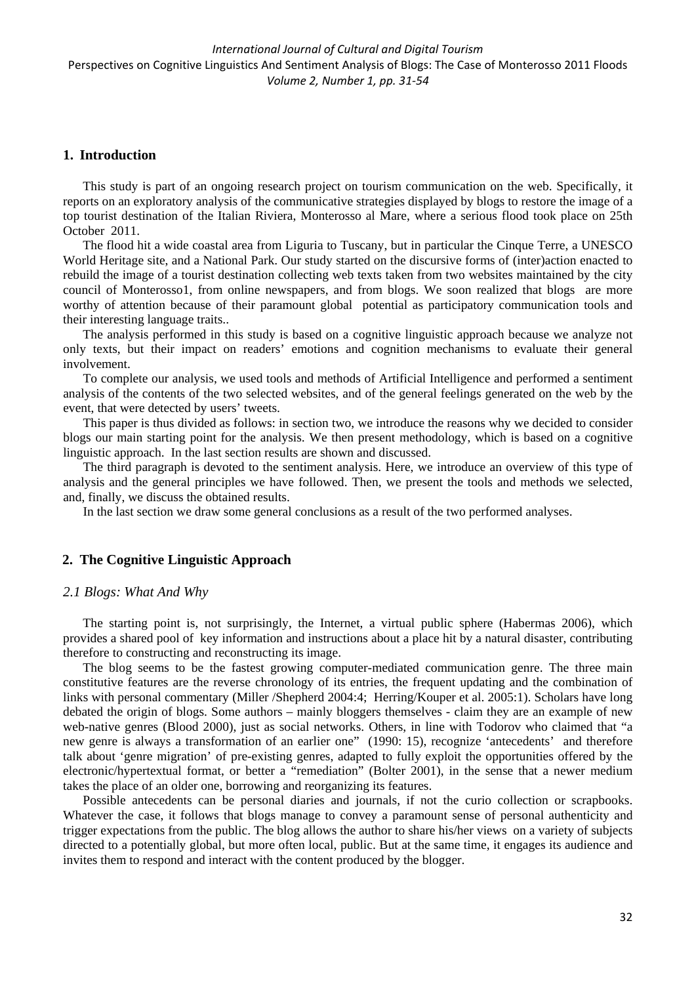### **1. Introduction**

This study is part of an ongoing research project on tourism communication on the web. Specifically, it reports on an exploratory analysis of the communicative strategies displayed by blogs to restore the image of a top tourist destination of the Italian Riviera, Monterosso al Mare, where a serious flood took place on 25th October 2011.

The flood hit a wide coastal area from Liguria to Tuscany, but in particular the Cinque Terre, a UNESCO World Heritage site, and a National Park. Our study started on the discursive forms of (inter)action enacted to rebuild the image of a tourist destination collecting web texts taken from two websites maintained by the city council of Monterosso1, from online newspapers, and from blogs. We soon realized that blogs are more worthy of attention because of their paramount global potential as participatory communication tools and their interesting language traits..

The analysis performed in this study is based on a cognitive linguistic approach because we analyze not only texts, but their impact on readers' emotions and cognition mechanisms to evaluate their general involvement.

To complete our analysis, we used tools and methods of Artificial Intelligence and performed a sentiment analysis of the contents of the two selected websites, and of the general feelings generated on the web by the event, that were detected by users' tweets.

This paper is thus divided as follows: in section two, we introduce the reasons why we decided to consider blogs our main starting point for the analysis. We then present methodology, which is based on a cognitive linguistic approach. In the last section results are shown and discussed.

The third paragraph is devoted to the sentiment analysis. Here, we introduce an overview of this type of analysis and the general principles we have followed. Then, we present the tools and methods we selected, and, finally, we discuss the obtained results.

In the last section we draw some general conclusions as a result of the two performed analyses.

## **2. The Cognitive Linguistic Approach**

### *2.1 Blogs: What And Why*

The starting point is, not surprisingly, the Internet, a virtual public sphere (Habermas 2006), which provides a shared pool of key information and instructions about a place hit by a natural disaster, contributing therefore to constructing and reconstructing its image.

The blog seems to be the fastest growing computer-mediated communication genre. The three main constitutive features are the reverse chronology of its entries, the frequent updating and the combination of links with personal commentary (Miller /Shepherd 2004:4; Herring/Kouper et al. 2005:1). Scholars have long debated the origin of blogs. Some authors – mainly bloggers themselves - claim they are an example of new web-native genres (Blood 2000), just as social networks. Others, in line with Todorov who claimed that "a new genre is always a transformation of an earlier one" (1990: 15), recognize 'antecedents' and therefore talk about 'genre migration' of pre-existing genres, adapted to fully exploit the opportunities offered by the electronic/hypertextual format, or better a "remediation" (Bolter 2001), in the sense that a newer medium takes the place of an older one, borrowing and reorganizing its features.

Possible antecedents can be personal diaries and journals, if not the curio collection or scrapbooks. Whatever the case, it follows that blogs manage to convey a paramount sense of personal authenticity and trigger expectations from the public. The blog allows the author to share his/her views on a variety of subjects directed to a potentially global, but more often local, public. But at the same time, it engages its audience and invites them to respond and interact with the content produced by the blogger.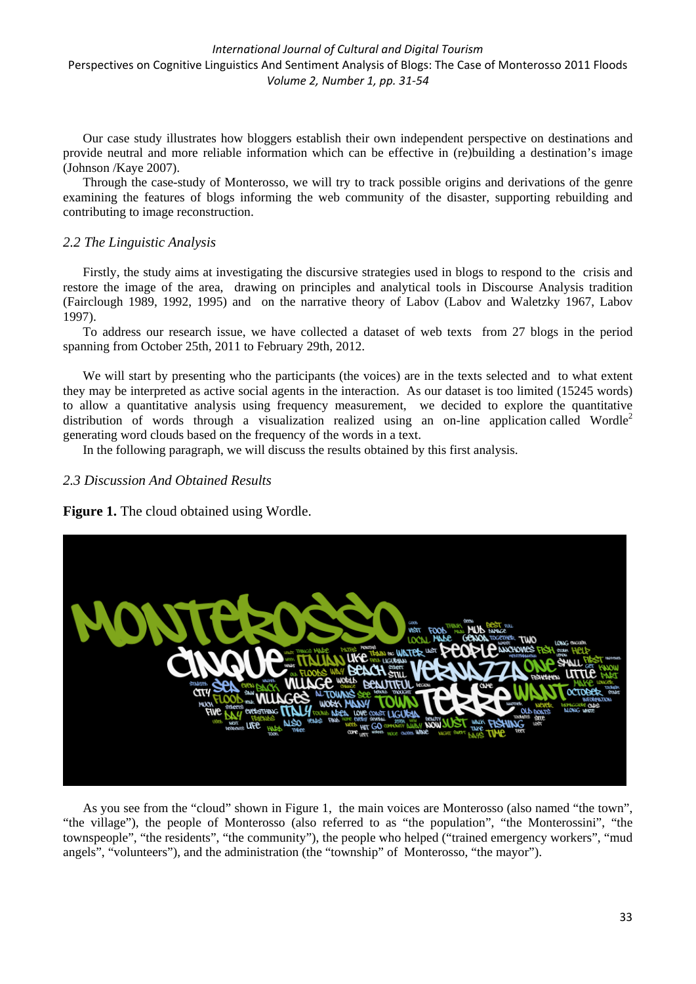Our case study illustrates how bloggers establish their own independent perspective on destinations and provide neutral and more reliable information which can be effective in (re)building a destination's image (Johnson /Kaye 2007).

Through the case-study of Monterosso, we will try to track possible origins and derivations of the genre examining the features of blogs informing the web community of the disaster, supporting rebuilding and contributing to image reconstruction.

### *2.2 The Linguistic Analysis*

Firstly, the study aims at investigating the discursive strategies used in blogs to respond to the crisis and restore the image of the area, drawing on principles and analytical tools in Discourse Analysis tradition (Fairclough 1989, 1992, 1995) and on the narrative theory of Labov (Labov and Waletzky 1967, Labov 1997).

To address our research issue, we have collected a dataset of web texts from 27 blogs in the period spanning from October 25th, 2011 to February 29th, 2012.

We will start by presenting who the participants (the voices) are in the texts selected and to what extent they may be interpreted as active social agents in the interaction. As our dataset is too limited (15245 words) to allow a quantitative analysis using frequency measurement, we decided to explore the quantitative distribution of words through a visualization realized using an on-line application called Wordle<sup>2</sup> generating word clouds based on the frequency of the words in a text.

In the following paragraph, we will discuss the results obtained by this first analysis.

### *2.3 Discussion And Obtained Results*

**Figure 1.** The cloud obtained using Wordle.



As you see from the "cloud" shown in Figure 1, the main voices are Monterosso (also named "the town", "the village"), the people of Monterosso (also referred to as "the population", "the Monterossini", "the townspeople", "the residents", "the community"), the people who helped ("trained emergency workers", "mud angels", "volunteers"), and the administration (the "township" of Monterosso, "the mayor").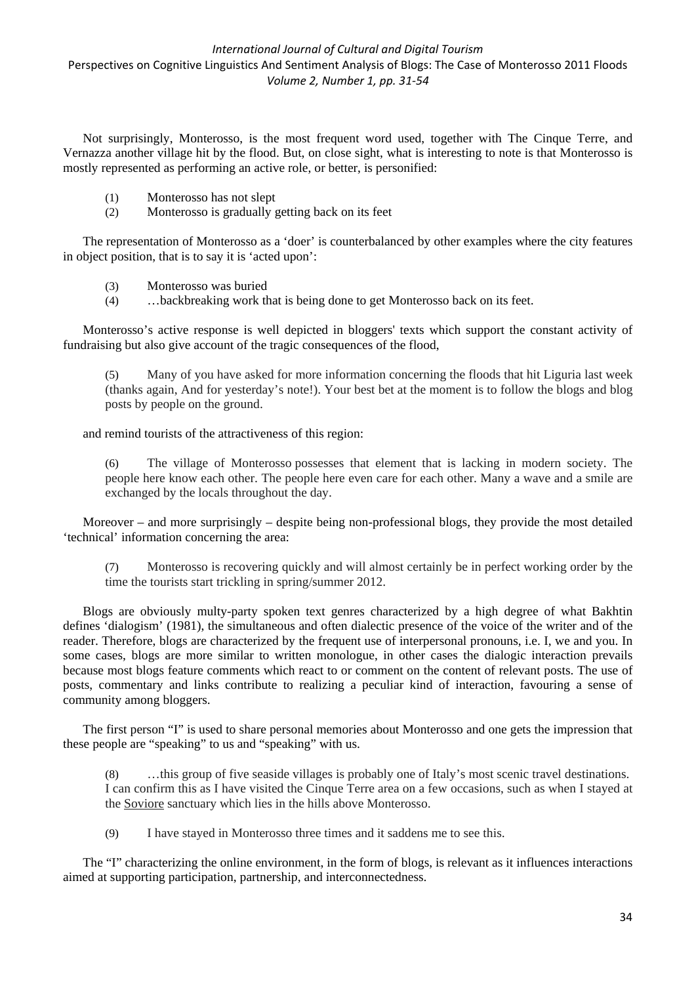Not surprisingly, Monterosso, is the most frequent word used, together with The Cinque Terre, and Vernazza another village hit by the flood. But, on close sight, what is interesting to note is that Monterosso is mostly represented as performing an active role, or better, is personified:

- (1) Monterosso has not slept
- (2) Monterosso is gradually getting back on its feet

The representation of Monterosso as a 'doer' is counterbalanced by other examples where the city features in object position, that is to say it is 'acted upon':

- (3) Monterosso was buried
- (4) …backbreaking work that is being done to get Monterosso back on its feet.

Monterosso's active response is well depicted in bloggers' texts which support the constant activity of fundraising but also give account of the tragic consequences of the flood,

(5) Many of you have asked for more information concerning the floods that hit Liguria last week (thanks again, And for yesterday's note!). Your best bet at the moment is to follow the blogs and blog posts by people on the ground.

and remind tourists of the attractiveness of this region:

(6) The village of Monterosso possesses that element that is lacking in modern society. The people here know each other. The people here even care for each other. Many a wave and a smile are exchanged by the locals throughout the day.

Moreover – and more surprisingly – despite being non-professional blogs, they provide the most detailed 'technical' information concerning the area:

(7) Monterosso is recovering quickly and will almost certainly be in perfect working order by the time the tourists start trickling in spring/summer 2012.

Blogs are obviously multy-party spoken text genres characterized by a high degree of what Bakhtin defines 'dialogism' (1981), the simultaneous and often dialectic presence of the voice of the writer and of the reader. Therefore, blogs are characterized by the frequent use of interpersonal pronouns, i.e. I, we and you. In some cases, blogs are more similar to written monologue, in other cases the dialogic interaction prevails because most blogs feature comments which react to or comment on the content of relevant posts. The use of posts, commentary and links contribute to realizing a peculiar kind of interaction, favouring a sense of community among bloggers.

The first person "I" is used to share personal memories about Monterosso and one gets the impression that these people are "speaking" to us and "speaking" with us.

(8) …this group of five seaside villages is probably one of Italy's most scenic travel destinations. I can confirm this as I have visited the Cinque Terre area on a few occasions, such as when I stayed at the [Soviore](http://italychronicles.com/knowing-italy-le-cinque-terre/) sanctuary which lies in the hills above Monterosso.

(9) I have stayed in Monterosso three times and it saddens me to see this.

The "I" characterizing the online environment, in the form of blogs, is relevant as it influences interactions aimed at supporting participation, partnership, and interconnectedness.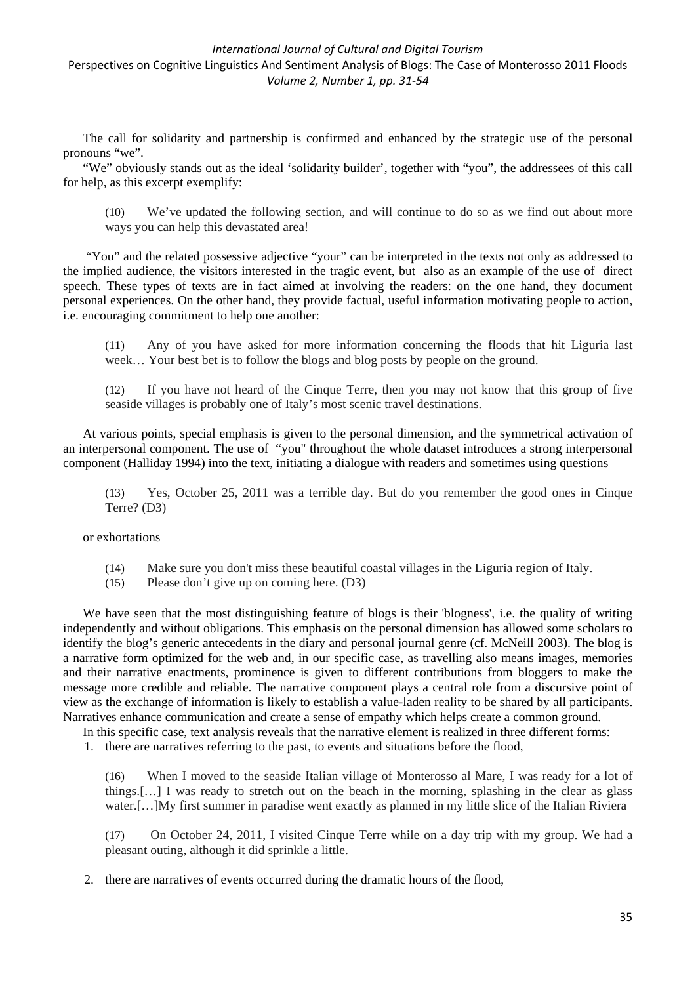The call for solidarity and partnership is confirmed and enhanced by the strategic use of the personal pronouns "we".

"We" obviously stands out as the ideal 'solidarity builder', together with "you", the addressees of this call for help, as this excerpt exemplify:

(10) We've updated the following section, and will continue to do so as we find out about more ways you can help this devastated area!

"You" and the related possessive adjective "your" can be interpreted in the texts not only as addressed to the implied audience, the visitors interested in the tragic event, but also as an example of the use of direct speech. These types of texts are in fact aimed at involving the readers: on the one hand, they document personal experiences. On the other hand, they provide factual, useful information motivating people to action, i.e. encouraging commitment to help one another:

(11) Any of you have asked for more information concerning the floods that hit Liguria last week… Your best bet is to follow the blogs and blog posts by people on the ground.

(12) If you have not heard of the Cinque Terre, then you may not know that this group of five seaside villages is probably one of Italy's most scenic travel destinations.

At various points, special emphasis is given to the personal dimension, and the symmetrical activation of an interpersonal component. The use of "you" throughout the whole dataset introduces a strong interpersonal component (Halliday 1994) into the text, initiating a dialogue with readers and sometimes using questions

(13) Yes, October 25, 2011 was a terrible day. But do you remember the good ones in Cinque Terre? (D3)

or exhortations

- (14) Make sure you don't miss these beautiful coastal villages in the Liguria region of Italy.
- (15) Please don't give up on coming here. (D3)

We have seen that the most distinguishing feature of blogs is their 'blogness', i.e. the quality of writing independently and without obligations. This emphasis on the personal dimension has allowed some scholars to identify the blog's generic antecedents in the diary and personal journal genre (cf. McNeill 2003). The blog is a narrative form optimized for the web and, in our specific case, as travelling also means images, memories and their narrative enactments, prominence is given to different contributions from bloggers to make the message more credible and reliable. The narrative component plays a central role from a discursive point of view as the exchange of information is likely to establish a value-laden reality to be shared by all participants. Narratives enhance communication and create a sense of empathy which helps create a common ground.

In this specific case, text analysis reveals that the narrative element is realized in three different forms:

1. there are narratives referring to the past, to events and situations before the flood,

(16) When I moved to the seaside Italian village of Monterosso al Mare, I was ready for a lot of things.[…] I was ready to stretch out on the beach in the morning, splashing in the clear as glass water.[…]My first summer in paradise went exactly as planned in my little slice of the Italian Riviera

(17) On October 24, 2011, I visited Cinque Terre while on a day trip with my group. We had a pleasant outing, although it did sprinkle a little.

2. there are narratives of events occurred during the dramatic hours of the flood,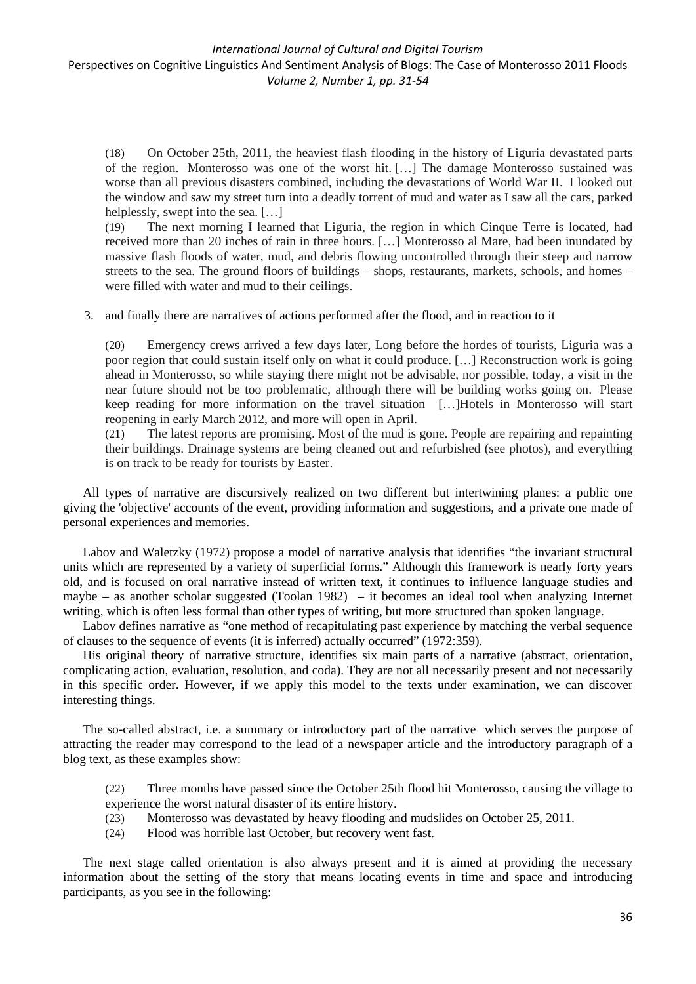(18) On October 25th, 2011, the heaviest flash flooding in the history of Liguria devastated parts of the region. Monterosso was one of the worst hit. […] The damage Monterosso sustained was worse than all previous disasters combined, including the devastations of World War II. I looked out the window and saw my street turn into a deadly torrent of mud and water as I saw all the cars, parked helplessly, swept into the sea. […]

(19) The next morning I learned that Liguria, the region in which Cinque Terre is located, had received more than 20 inches of rain in three hours. […] Monterosso al Mare, had been inundated by massive flash floods of water, mud, and debris flowing uncontrolled through their steep and narrow streets to the sea. The ground floors of buildings – shops, restaurants, markets, schools, and homes – were filled with water and mud to their ceilings.

3. and finally there are narratives of actions performed after the flood, and in reaction to it

(20) Emergency crews arrived a few days later, Long before the hordes of tourists, Liguria was a poor region that could sustain itself only on what it could produce. […] Reconstruction work is going ahead in Monterosso, so while staying there might not be advisable, nor possible, today, a visit in the near future should not be too problematic, although there will be building works going on. Please keep reading for more information on the travel situation […]Hotels in Monterosso will start reopening in early March 2012, and more will open in April.

(21) The latest reports are promising. Most of the mud is gone. People are repairing and repainting their buildings. Drainage systems are being cleaned out and refurbished (see photos), and everything is on track to be ready for tourists by Easter.

All types of narrative are discursively realized on two different but intertwining planes: a public one giving the 'objective' accounts of the event, providing information and suggestions, and a private one made of personal experiences and memories.

Labov and Waletzky (1972) propose a model of narrative analysis that identifies "the invariant structural units which are represented by a variety of superficial forms." Although this framework is nearly forty years old, and is focused on oral narrative instead of written text, it continues to influence language studies and maybe – as another scholar suggested (Toolan 1982) – it becomes an ideal tool when analyzing Internet writing, which is often less formal than other types of writing, but more structured than spoken language.

Labov defines narrative as "one method of recapitulating past experience by matching the verbal sequence of clauses to the sequence of events (it is inferred) actually occurred" (1972:359).

His original theory of narrative structure, identifies six main parts of a narrative (abstract, orientation, complicating action, evaluation, resolution, and coda). They are not all necessarily present and not necessarily in this specific order. However, if we apply this model to the texts under examination, we can discover interesting things.

The so-called abstract, i.e. a summary or introductory part of the narrative which serves the purpose of attracting the reader may correspond to the lead of a newspaper article and the introductory paragraph of a blog text, as these examples show:

(22) Three months have passed since the October 25th flood hit Monterosso, causing the village to experience the worst natural disaster of its entire history.

- (23) Monterosso was devastated by heavy flooding and mudslides on October 25, 2011.
- (24) Flood was horrible last October, but recovery went fast.

The next stage called orientation is also always present and it is aimed at providing the necessary information about the setting of the story that means locating events in time and space and introducing participants, as you see in the following: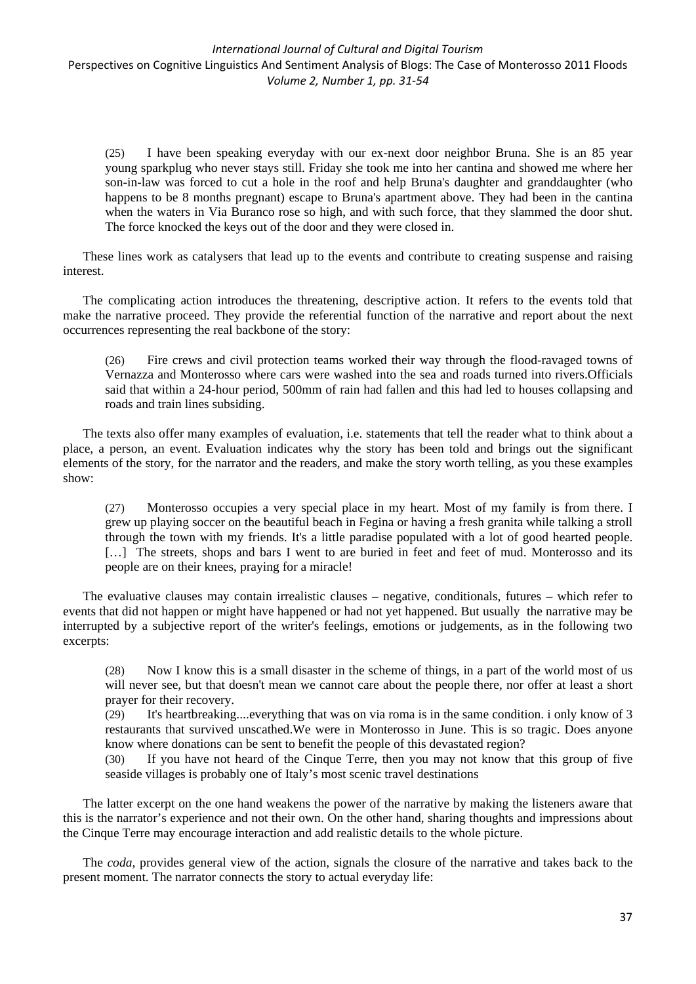(25) I have been speaking everyday with our ex-next door neighbor Bruna. She is an 85 year young sparkplug who never stays still. Friday she took me into her cantina and showed me where her son-in-law was forced to cut a hole in the roof and help Bruna's daughter and granddaughter (who happens to be 8 months pregnant) escape to Bruna's apartment above. They had been in the cantina when the waters in Via Buranco rose so high, and with such force, that they slammed the door shut. The force knocked the keys out of the door and they were closed in.

These lines work as catalysers that lead up to the events and contribute to creating suspense and raising interest.

The complicating action introduces the threatening, descriptive action. It refers to the events told that make the narrative proceed. They provide the referential function of the narrative and report about the next occurrences representing the real backbone of the story:

(26) Fire crews and civil protection teams worked their way through the flood-ravaged towns of Vernazza and Monterosso where cars were washed into the sea and roads turned into rivers.Officials said that within a 24-hour period, 500mm of rain had fallen and this had led to houses collapsing and roads and train lines subsiding.

The texts also offer many examples of evaluation, i.e. statements that tell the reader what to think about a place, a person, an event. Evaluation indicates why the story has been told and brings out the significant elements of the story, for the narrator and the readers, and make the story worth telling, as you these examples show:

(27) Monterosso occupies a very special place in my heart. Most of my family is from there. I grew up playing soccer on the beautiful beach in Fegina or having a fresh granita while talking a stroll through the town with my friends. It's a little paradise populated with a lot of good hearted people. [...] The streets, shops and bars I went to are buried in feet and feet of mud. Monterosso and its people are on their knees, praying for a miracle!

The evaluative clauses may contain irrealistic clauses – negative, conditionals, futures – which refer to events that did not happen or might have happened or had not yet happened. But usually the narrative may be interrupted by a subjective report of the writer's feelings, emotions or judgements, as in the following two excerpts:

(28) Now I know this is a small disaster in the scheme of things, in a part of the world most of us will never see, but that doesn't mean we cannot care about the people there, nor offer at least a short prayer for their recovery.

(29) It's heartbreaking....everything that was on via roma is in the same condition. i only know of 3 restaurants that survived unscathed.We were in Monterosso in June. This is so tragic. Does anyone know where donations can be sent to benefit the people of this devastated region?

(30) If you have not heard of the Cinque Terre, then you may not know that this group of five seaside villages is probably one of Italy's most scenic travel destinations

The latter excerpt on the one hand weakens the power of the narrative by making the listeners aware that this is the narrator's experience and not their own. On the other hand, sharing thoughts and impressions about the Cinque Terre may encourage interaction and add realistic details to the whole picture.

The *coda*, provides general view of the action, signals the closure of the narrative and takes back to the present moment. The narrator connects the story to actual everyday life: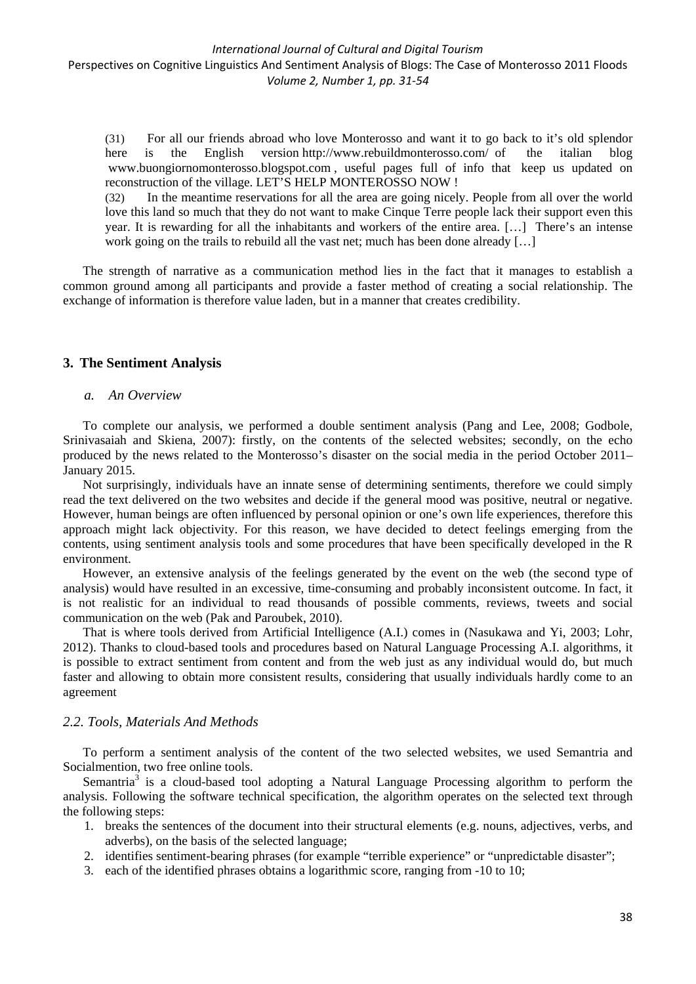(31) For all our friends abroad who love Monterosso and want it to go back to it's old splendor here is the English version http://www.rebuildmonterosso.com/ of the italian blog www.buongiornomonterosso.blogspot.com , useful pages full of info that keep us updated on reconstruction of the village. LET'S HELP MONTEROSSO NOW !

(32) In the meantime reservations for all the area are going nicely. People from all over the world love this land so much that they do not want to make Cinque Terre people lack their support even this year. It is rewarding for all the inhabitants and workers of the entire area. […] There's an intense work going on the trails to rebuild all the vast net; much has been done already […]

The strength of narrative as a communication method lies in the fact that it manages to establish a common ground among all participants and provide a faster method of creating a social relationship. The exchange of information is therefore value laden, but in a manner that creates credibility.

### **3. The Sentiment Analysis**

#### *a. An Overview*

To complete our analysis, we performed a double sentiment analysis (Pang and Lee, 2008; Godbole, Srinivasaiah and Skiena, 2007): firstly, on the contents of the selected websites; secondly, on the echo produced by the news related to the Monterosso's disaster on the social media in the period October 2011– January 2015.

Not surprisingly, individuals have an innate sense of determining sentiments, therefore we could simply read the text delivered on the two websites and decide if the general mood was positive, neutral or negative. However, human beings are often influenced by personal opinion or one's own life experiences, therefore this approach might lack objectivity. For this reason, we have decided to detect feelings emerging from the contents, using sentiment analysis tools and some procedures that have been specifically developed in the R environment.

However, an extensive analysis of the feelings generated by the event on the web (the second type of analysis) would have resulted in an excessive, time-consuming and probably inconsistent outcome. In fact, it is not realistic for an individual to read thousands of possible comments, reviews, tweets and social communication on the web (Pak and Paroubek, 2010).

That is where tools derived from Artificial Intelligence (A.I.) comes in (Nasukawa and Yi, 2003; Lohr, 2012). Thanks to cloud-based tools and procedures based on Natural Language Processing A.I. algorithms, it is possible to extract sentiment from content and from the web just as any individual would do, but much faster and allowing to obtain more consistent results, considering that usually individuals hardly come to an agreement

### *2.2. Tools, Materials And Methods*

To perform a sentiment analysis of the content of the two selected websites, we used Semantria and Socialmention, two free online tools.

Semantria<sup>3</sup> is a cloud-based tool adopting a Natural Language Processing algorithm to perform the analysis. Following the software technical specification, the algorithm operates on the selected text through the following steps:

- 1. breaks the sentences of the document into their structural elements (e.g. nouns, adjectives, verbs, and adverbs), on the basis of the selected language;
- 2. identifies sentiment-bearing phrases (for example "terrible experience" or "unpredictable disaster";
- 3. each of the identified phrases obtains a logarithmic score, ranging from -10 to 10;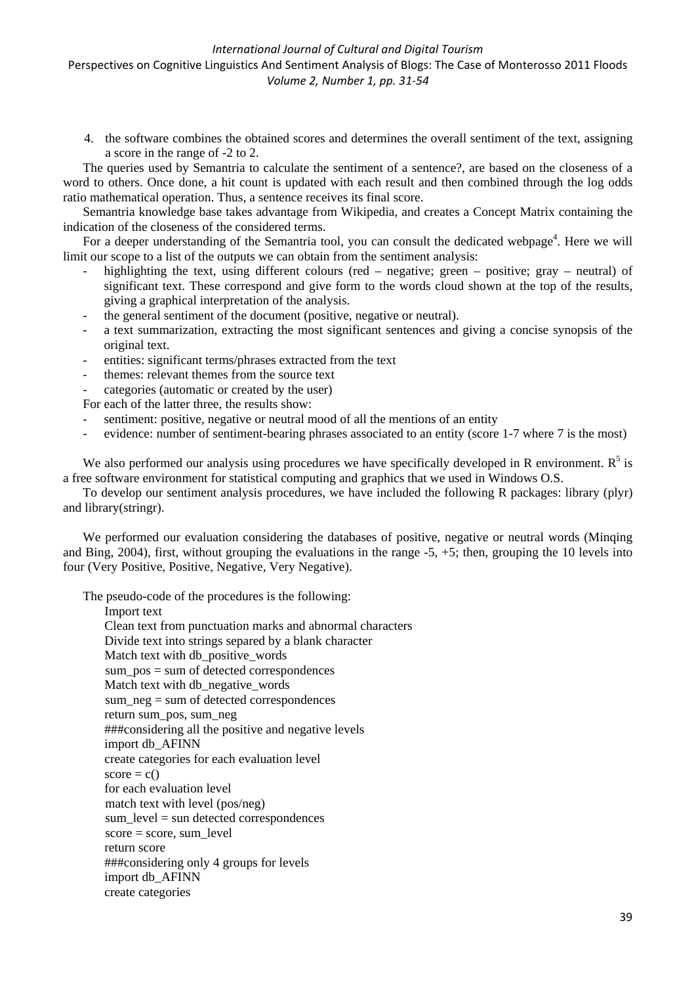4. the software combines the obtained scores and determines the overall sentiment of the text, assigning a score in the range of -2 to 2.

The queries used by Semantria to calculate the sentiment of a sentence?, are based on the closeness of a word to others. Once done, a hit count is updated with each result and then combined through the log odds ratio mathematical operation. Thus, a sentence receives its final score.

Semantria knowledge base takes advantage from Wikipedia, and creates a Concept Matrix containing the indication of the closeness of the considered terms.

For a deeper understanding of the Semantria tool, you can consult the dedicated webpage<sup>4</sup>. Here we will limit our scope to a list of the outputs we can obtain from the sentiment analysis:

- highlighting the text, using different colours (red negative; green positive; gray neutral) of significant text. These correspond and give form to the words cloud shown at the top of the results, giving a graphical interpretation of the analysis.
- the general sentiment of the document (positive, negative or neutral).
- a text summarization, extracting the most significant sentences and giving a concise synopsis of the original text.
- entities: significant terms/phrases extracted from the text
- themes: relevant themes from the source text
- categories (automatic or created by the user)

For each of the latter three, the results show:

- sentiment: positive, negative or neutral mood of all the mentions of an entity
- evidence: number of sentiment-bearing phrases associated to an entity (score 1-7 where 7 is the most)

We also performed our analysis using procedures we have specifically developed in R environment.  $R^5$  is a free software environment for statistical computing and graphics that we used in Windows O.S.

To develop our sentiment analysis procedures, we have included the following R packages: library (plyr) and library(stringr).

We performed our evaluation considering the databases of positive, negative or neutral words (Minging) and Bing, 2004), first, without grouping the evaluations in the range -5, +5; then, grouping the 10 levels into four (Very Positive, Positive, Negative, Very Negative).

The pseudo-code of the procedures is the following:

Import text

Clean text from punctuation marks and abnormal characters Divide text into strings separed by a blank character Match text with db positive words sum\_pos = sum of detected correspondences Match text with db\_negative\_words

sum\_neg = sum of detected correspondences

return sum\_pos, sum\_neg

###considering all the positive and negative levels

import db\_AFINN

create categories for each evaluation level

 $score = c()$ 

for each evaluation level

match text with level (pos/neg)

sum  $level = sun detected corresponding$ 

 $score = score$ , sum level

return score

###considering only 4 groups for levels

import db\_AFINN

create categories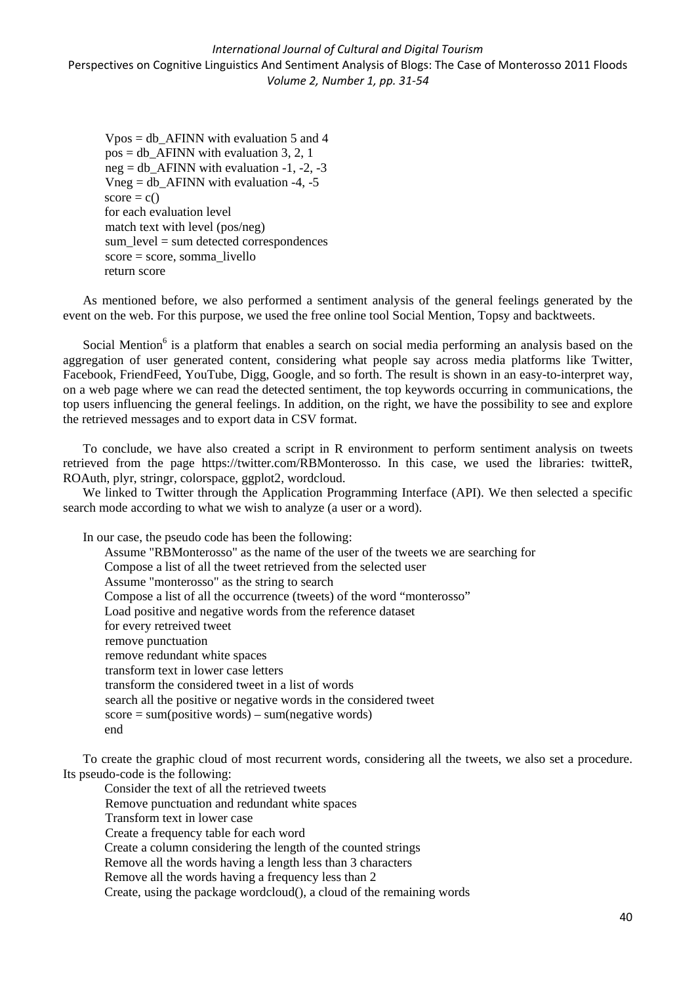$Vpos = db$  AFINN with evaluation 5 and 4  $pos = db$  AFINN with evaluation 3, 2, 1  $neg = db$  AFINN with evaluation -1, -2, -3 Vneg = db AFINN with evaluation -4, -5  $score = c()$ for each evaluation level match text with level (pos/neg) sum  $level = sum detected corresponding$  $score = score$ , somma livello return score

As mentioned before, we also performed a sentiment analysis of the general feelings generated by the event on the web. For this purpose, we used the free online tool Social Mention, Topsy and backtweets.

Social Mention<sup>6</sup> is a platform that enables a search on social media performing an analysis based on the aggregation of user generated content, considering what people say across media platforms like Twitter, Facebook, FriendFeed, YouTube, Digg, Google, and so forth. The result is shown in an easy-to-interpret way, on a web page where we can read the detected sentiment, the top keywords occurring in communications, the top users influencing the general feelings. In addition, on the right, we have the possibility to see and explore the retrieved messages and to export data in CSV format.

To conclude, we have also created a script in R environment to perform sentiment analysis on tweets retrieved from the page [https://twitter.com/RBMonterosso.](https://twitter.com/RBMonterosso) In this case, we used the libraries: twitteR, ROAuth, plyr, stringr, colorspace, ggplot2, wordcloud.

We linked to Twitter through the Application Programming Interface (API). We then selected a specific search mode according to what we wish to analyze (a user or a word).

In our case, the pseudo code has been the following:

Assume "RBMonterosso" as the name of the user of the tweets we are searching for Compose a list of all the tweet retrieved from the selected user Assume "monterosso" as the string to search Compose a list of all the occurrence (tweets) of the word "monterosso" Load positive and negative words from the reference dataset for every retreived tweet remove punctuation remove redundant white spaces transform text in lower case letters transform the considered tweet in a list of words search all the positive or negative words in the considered tweet  $score = sum(positive words) - sum(negative words)$ end

To create the graphic cloud of most recurrent words, considering all the tweets, we also set a procedure. Its pseudo-code is the following:

Consider the text of all the retrieved tweets Remove punctuation and redundant white spaces Transform text in lower case Create a frequency table for each word Create a column considering the length of the counted strings Remove all the words having a length less than 3 characters Remove all the words having a frequency less than 2 Create, using the package wordcloud(), a cloud of the remaining words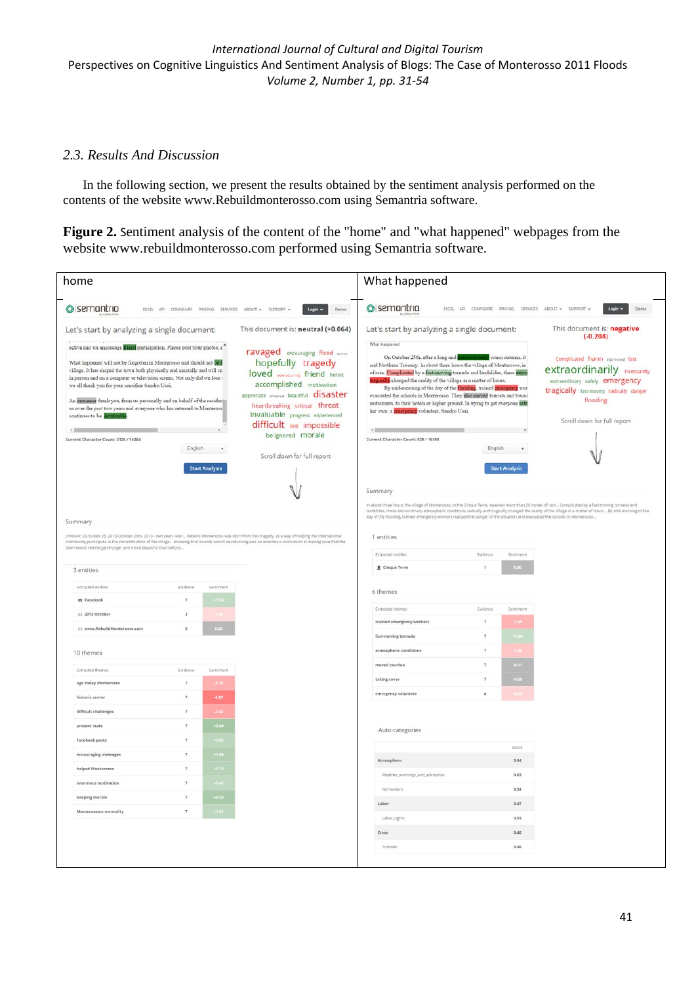### *2.3. Results And Discussion*

In the following section, we present the results obtained by the sentiment analysis performed on the contents of the website www.Rebuildmonterosso.com using Semantria software.

**Figure 2.** Sentiment analysis of the content of the "home" and "what happened" webpages from the website www.rebuildmonterosso.com performed using Semantria software.

| home                                                                                                                                                                                                                                                                                                                                                                                                                                                                                                                                                                                                                                                                    |                                                                                                                                                                                                                                                                                                                                                                                                                         | What happened                                                                                                                                                                                                                                                                                                                                                                                                                                                                                                                                                                                                                                                                                                                                                                                                                                                                                                                                                                                                                                                              |                                                                                                                                                                                                                                   |  |  |
|-------------------------------------------------------------------------------------------------------------------------------------------------------------------------------------------------------------------------------------------------------------------------------------------------------------------------------------------------------------------------------------------------------------------------------------------------------------------------------------------------------------------------------------------------------------------------------------------------------------------------------------------------------------------------|-------------------------------------------------------------------------------------------------------------------------------------------------------------------------------------------------------------------------------------------------------------------------------------------------------------------------------------------------------------------------------------------------------------------------|----------------------------------------------------------------------------------------------------------------------------------------------------------------------------------------------------------------------------------------------------------------------------------------------------------------------------------------------------------------------------------------------------------------------------------------------------------------------------------------------------------------------------------------------------------------------------------------------------------------------------------------------------------------------------------------------------------------------------------------------------------------------------------------------------------------------------------------------------------------------------------------------------------------------------------------------------------------------------------------------------------------------------------------------------------------------------|-----------------------------------------------------------------------------------------------------------------------------------------------------------------------------------------------------------------------------------|--|--|
| Semantria                                                                                                                                                                                                                                                                                                                                                                                                                                                                                                                                                                                                                                                               | EXCEL API CONFIGURE PRICING SERVICES ABOUT + SUPPORT +<br>Login ~<br>Demo                                                                                                                                                                                                                                                                                                                                               | © semantria<br>EXCEL API CONFIGURE PRICING SERVICES ABOUT ~ SUPPORT ~                                                                                                                                                                                                                                                                                                                                                                                                                                                                                                                                                                                                                                                                                                                                                                                                                                                                                                                                                                                                      | Login v<br>Demo                                                                                                                                                                                                                   |  |  |
| Let's start by analyzing a single document:<br>active and we encourage friend participation. Please post your photos, r <sup>*</sup><br>What happened will not be forgotten in Monterosso and should not be i<br>village. It has shaped the town both physically and mentally and will re-<br>in person and on a computer or television screen. Not only did we lose -<br>we all thank you for your sacrifice Sandro Usai.<br>An immense thank you, from us personally and on behalf of the resident<br>us over the past two years and everyone who has returned to Monteross<br>continues to be, <i>invaluable</i><br>Current Character Count: 3120 / 16384<br>English | This document is: neutral (+0.064)<br>ravaged encouraging flood sales<br>hopefully tragedy<br>loved <b><i>normalis</i></b> friend heroic<br>accomplished motivation<br>appreciate immense beautiful disaster<br>heartbreaking critical threat<br>invaluable progress experienced<br>difficult lost impossible<br>be ignored morale<br>$\boldsymbol{\mathrm{v}}$<br>Scroll down for full report<br><b>Start Analysis</b> | Let's start by analyzing a single document:<br>What Happened<br>On October 25th, after a long and <b>construction by</b> warm autumn, it<br>and Northern Tuscany. In about three hours the village of Monterosso, in<br>of rain. Complicated by a fast-moving tomado and landslides, these extra-<br>gically changed the reality of the village in a matter of hours.<br>By mid-morning of the day of the flooding, trained emergency wor<br>evacuated the schools in Monterosso. They also moved tourists and towns<br>restaurants, to their hotels or higher ground. In trying to get everyone safe<br>her own: a <b>emergency</b> volunteer, Sandro Usai.<br>Current Character Count: 828 / 16384<br>English<br><b>Start Analysis</b><br>Summary<br>In about three hours the village of Monterosso, in the Cinque Terre, received more than 20 inches of rain Complicated by a fast-moving tornado and<br>landslides, these extraordinary atmospheric conditions radically and tragically changed the reality of the village in a matter of hours By mid-morning of the | This document is: negative<br>$(-0.208)$<br>Complicated harm assessed lost<br>extraordinarily incessantly<br>extraordinary safely emergency<br>tragically fast-moving radically danger<br>flooding<br>Scroll down for full report |  |  |
| Summary                                                                                                                                                                                                                                                                                                                                                                                                                                                                                                                                                                                                                                                                 |                                                                                                                                                                                                                                                                                                                                                                                                                         | day of the flooding, trained emergency workers realized the danger of the situation and evacuated the schools in Monterosso                                                                                                                                                                                                                                                                                                                                                                                                                                                                                                                                                                                                                                                                                                                                                                                                                                                                                                                                                |                                                                                                                                                                                                                                   |  |  |
| town would reemerge stronger and more beautiful than before                                                                                                                                                                                                                                                                                                                                                                                                                                                                                                                                                                                                             | J FRIDAY, OCTOBER 25, 2013 October 25th, 2013 - two years later Rebuild Monterosso was born from this tragedy, as a way of helping the international<br>community participate in the reconstruction of the village Knowing that tourists would be returning was an enormous motivation in making sure that the                                                                                                          | 1 entities<br>Extracted entities<br>Evidence<br>Sentiment                                                                                                                                                                                                                                                                                                                                                                                                                                                                                                                                                                                                                                                                                                                                                                                                                                                                                                                                                                                                                  |                                                                                                                                                                                                                                   |  |  |
| 3 entities                                                                                                                                                                                                                                                                                                                                                                                                                                                                                                                                                                                                                                                              |                                                                                                                                                                                                                                                                                                                                                                                                                         | Cinque Terre<br>$\overline{1}$                                                                                                                                                                                                                                                                                                                                                                                                                                                                                                                                                                                                                                                                                                                                                                                                                                                                                                                                                                                                                                             |                                                                                                                                                                                                                                   |  |  |
| Extracted entities<br>Evidence                                                                                                                                                                                                                                                                                                                                                                                                                                                                                                                                                                                                                                          | Sentiment                                                                                                                                                                                                                                                                                                                                                                                                               | 6 themes                                                                                                                                                                                                                                                                                                                                                                                                                                                                                                                                                                                                                                                                                                                                                                                                                                                                                                                                                                                                                                                                   |                                                                                                                                                                                                                                   |  |  |
| <b>百 Facebook</b><br>$\overline{7}$                                                                                                                                                                                                                                                                                                                                                                                                                                                                                                                                                                                                                                     | $-1.37$                                                                                                                                                                                                                                                                                                                                                                                                                 |                                                                                                                                                                                                                                                                                                                                                                                                                                                                                                                                                                                                                                                                                                                                                                                                                                                                                                                                                                                                                                                                            |                                                                                                                                                                                                                                   |  |  |
| () 2013 October<br>$\overline{\mathbf{3}}$                                                                                                                                                                                                                                                                                                                                                                                                                                                                                                                                                                                                                              |                                                                                                                                                                                                                                                                                                                                                                                                                         | Extracted themes<br>Evidence<br>Sentiment<br>trained emergency workers<br>$\overline{7}$                                                                                                                                                                                                                                                                                                                                                                                                                                                                                                                                                                                                                                                                                                                                                                                                                                                                                                                                                                                   |                                                                                                                                                                                                                                   |  |  |
| <> www.RebuildMonterosso.com<br>$\circ$                                                                                                                                                                                                                                                                                                                                                                                                                                                                                                                                                                                                                                 |                                                                                                                                                                                                                                                                                                                                                                                                                         | $+1.20$                                                                                                                                                                                                                                                                                                                                                                                                                                                                                                                                                                                                                                                                                                                                                                                                                                                                                                                                                                                                                                                                    |                                                                                                                                                                                                                                   |  |  |
|                                                                                                                                                                                                                                                                                                                                                                                                                                                                                                                                                                                                                                                                         |                                                                                                                                                                                                                                                                                                                                                                                                                         | fast-moving tornado<br>$\overline{7}$<br>atmospheric conditions<br>$\overline{7}$                                                                                                                                                                                                                                                                                                                                                                                                                                                                                                                                                                                                                                                                                                                                                                                                                                                                                                                                                                                          |                                                                                                                                                                                                                                   |  |  |
| 10 themes                                                                                                                                                                                                                                                                                                                                                                                                                                                                                                                                                                                                                                                               |                                                                                                                                                                                                                                                                                                                                                                                                                         | 0.11<br>moved tourists<br>$\overline{7}$                                                                                                                                                                                                                                                                                                                                                                                                                                                                                                                                                                                                                                                                                                                                                                                                                                                                                                                                                                                                                                   |                                                                                                                                                                                                                                   |  |  |
| <b>Extracted themes</b><br>Evidence                                                                                                                                                                                                                                                                                                                                                                                                                                                                                                                                                                                                                                     | Sentiment                                                                                                                                                                                                                                                                                                                                                                                                               | $-0.05$<br>taking cover<br>$\overline{7}$                                                                                                                                                                                                                                                                                                                                                                                                                                                                                                                                                                                                                                                                                                                                                                                                                                                                                                                                                                                                                                  |                                                                                                                                                                                                                                   |  |  |
| ago today Monterosso<br>$\overline{7}$                                                                                                                                                                                                                                                                                                                                                                                                                                                                                                                                                                                                                                  | $-2.10$                                                                                                                                                                                                                                                                                                                                                                                                                 | $\overline{4}$<br>emergency volunteer                                                                                                                                                                                                                                                                                                                                                                                                                                                                                                                                                                                                                                                                                                                                                                                                                                                                                                                                                                                                                                      |                                                                                                                                                                                                                                   |  |  |
| historic center<br>$\overline{z}$                                                                                                                                                                                                                                                                                                                                                                                                                                                                                                                                                                                                                                       | $-4.03$                                                                                                                                                                                                                                                                                                                                                                                                                 |                                                                                                                                                                                                                                                                                                                                                                                                                                                                                                                                                                                                                                                                                                                                                                                                                                                                                                                                                                                                                                                                            |                                                                                                                                                                                                                                   |  |  |
| $\overline{z}$<br>difficult challenges                                                                                                                                                                                                                                                                                                                                                                                                                                                                                                                                                                                                                                  | 2.42                                                                                                                                                                                                                                                                                                                                                                                                                    |                                                                                                                                                                                                                                                                                                                                                                                                                                                                                                                                                                                                                                                                                                                                                                                                                                                                                                                                                                                                                                                                            |                                                                                                                                                                                                                                   |  |  |
| present state<br>$\overline{7}$                                                                                                                                                                                                                                                                                                                                                                                                                                                                                                                                                                                                                                         | $+2.49$                                                                                                                                                                                                                                                                                                                                                                                                                 | Auto-categories                                                                                                                                                                                                                                                                                                                                                                                                                                                                                                                                                                                                                                                                                                                                                                                                                                                                                                                                                                                                                                                            |                                                                                                                                                                                                                                   |  |  |
| <b>Facebook posts</b><br>$\overline{z}$                                                                                                                                                                                                                                                                                                                                                                                                                                                                                                                                                                                                                                 | $+1.62$                                                                                                                                                                                                                                                                                                                                                                                                                 | Score                                                                                                                                                                                                                                                                                                                                                                                                                                                                                                                                                                                                                                                                                                                                                                                                                                                                                                                                                                                                                                                                      |                                                                                                                                                                                                                                   |  |  |
| encouraging messages<br>$\overline{7}$                                                                                                                                                                                                                                                                                                                                                                                                                                                                                                                                                                                                                                  | $+1.96$                                                                                                                                                                                                                                                                                                                                                                                                                 | Atmosphere<br>0.94                                                                                                                                                                                                                                                                                                                                                                                                                                                                                                                                                                                                                                                                                                                                                                                                                                                                                                                                                                                                                                                         |                                                                                                                                                                                                                                   |  |  |
| helped Monterosso<br>$\overline{\phantom{a}}$                                                                                                                                                                                                                                                                                                                                                                                                                                                                                                                                                                                                                           | $+1.79$                                                                                                                                                                                                                                                                                                                                                                                                                 | Weather_warnings_and_advisories<br>0.63                                                                                                                                                                                                                                                                                                                                                                                                                                                                                                                                                                                                                                                                                                                                                                                                                                                                                                                                                                                                                                    |                                                                                                                                                                                                                                   |  |  |
| enormous motivation<br>$\overline{7}$                                                                                                                                                                                                                                                                                                                                                                                                                                                                                                                                                                                                                                   | $+1.47$                                                                                                                                                                                                                                                                                                                                                                                                                 | Nor'easters<br>0.54                                                                                                                                                                                                                                                                                                                                                                                                                                                                                                                                                                                                                                                                                                                                                                                                                                                                                                                                                                                                                                                        |                                                                                                                                                                                                                                   |  |  |
| keeping morale<br>$\overline{7}$                                                                                                                                                                                                                                                                                                                                                                                                                                                                                                                                                                                                                                        | $+2.25$                                                                                                                                                                                                                                                                                                                                                                                                                 | Labor<br>0.47                                                                                                                                                                                                                                                                                                                                                                                                                                                                                                                                                                                                                                                                                                                                                                                                                                                                                                                                                                                                                                                              |                                                                                                                                                                                                                                   |  |  |
| Monterossino mentality<br>$\overline{7}$                                                                                                                                                                                                                                                                                                                                                                                                                                                                                                                                                                                                                                | $+1.51.$                                                                                                                                                                                                                                                                                                                                                                                                                |                                                                                                                                                                                                                                                                                                                                                                                                                                                                                                                                                                                                                                                                                                                                                                                                                                                                                                                                                                                                                                                                            |                                                                                                                                                                                                                                   |  |  |
|                                                                                                                                                                                                                                                                                                                                                                                                                                                                                                                                                                                                                                                                         |                                                                                                                                                                                                                                                                                                                                                                                                                         | Labor rights<br>0.53                                                                                                                                                                                                                                                                                                                                                                                                                                                                                                                                                                                                                                                                                                                                                                                                                                                                                                                                                                                                                                                       |                                                                                                                                                                                                                                   |  |  |
|                                                                                                                                                                                                                                                                                                                                                                                                                                                                                                                                                                                                                                                                         |                                                                                                                                                                                                                                                                                                                                                                                                                         | Crisis<br>0.46                                                                                                                                                                                                                                                                                                                                                                                                                                                                                                                                                                                                                                                                                                                                                                                                                                                                                                                                                                                                                                                             |                                                                                                                                                                                                                                   |  |  |
|                                                                                                                                                                                                                                                                                                                                                                                                                                                                                                                                                                                                                                                                         |                                                                                                                                                                                                                                                                                                                                                                                                                         | Tornado<br>0.46                                                                                                                                                                                                                                                                                                                                                                                                                                                                                                                                                                                                                                                                                                                                                                                                                                                                                                                                                                                                                                                            |                                                                                                                                                                                                                                   |  |  |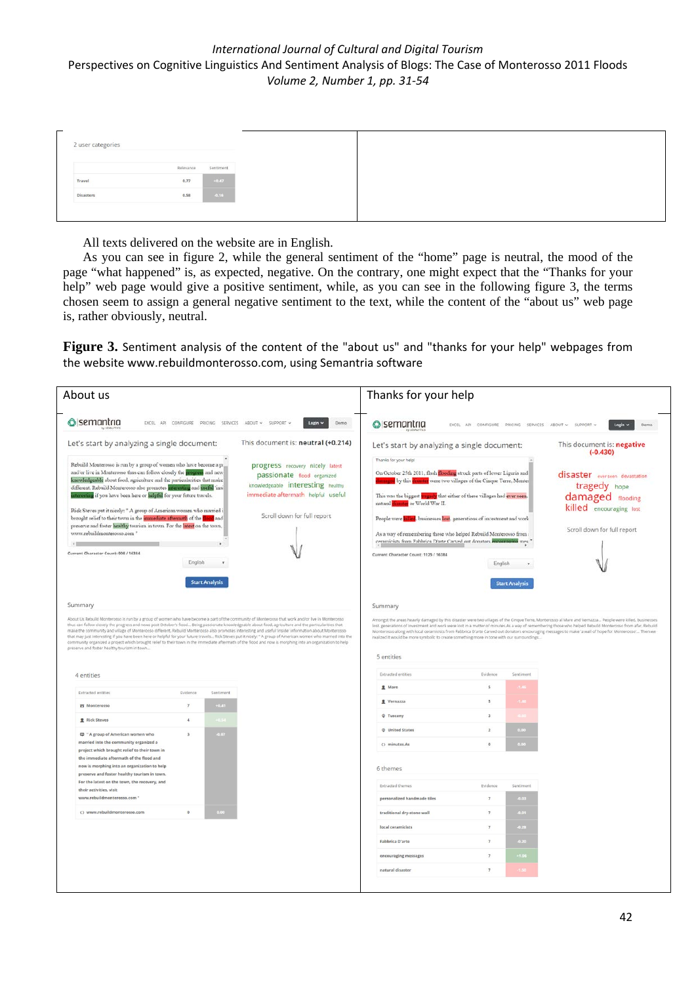| Relevance | Sentiment |
|-----------|-----------|
| 0.77      | $+0.47$   |
| 0.58      | $-0.16$   |
|           |           |

All texts delivered on the website are in English.

As you can see in figure 2, while the general sentiment of the "home" page is neutral, the mood of the page "what happened" is, as expected, negative. On the contrary, one might expect that the "Thanks for your help" web page would give a positive sentiment, while, as you can see in the following figure 3, the terms chosen seem to assign a general negative sentiment to the text, while the content of the "about us" web page is, rather obviously, neutral.

**Figure 3.** Sentiment analysis of the content of the "about us" and "thanks for your help" webpages from the website www.rebuildmonterosso.com, using Semantria software

| About us                                                                                                                                                                                                                                                                                                                                                                                                                                                                                                                                                                                                                                                                                                                           |                         |                       | Thanks for your help                                                                                                                                                                                                                                                                                                                                                                                                                                                                                                                                                                                                                                                                                                                                                                              |                                                                                                                                                                                                                                                                                                                                                                                                                                                                                                                                                                                                                              |                                      |                       |                                                                                                                                                                                                                                                                                                                                                                                                                                                                               |
|------------------------------------------------------------------------------------------------------------------------------------------------------------------------------------------------------------------------------------------------------------------------------------------------------------------------------------------------------------------------------------------------------------------------------------------------------------------------------------------------------------------------------------------------------------------------------------------------------------------------------------------------------------------------------------------------------------------------------------|-------------------------|-----------------------|---------------------------------------------------------------------------------------------------------------------------------------------------------------------------------------------------------------------------------------------------------------------------------------------------------------------------------------------------------------------------------------------------------------------------------------------------------------------------------------------------------------------------------------------------------------------------------------------------------------------------------------------------------------------------------------------------------------------------------------------------------------------------------------------------|------------------------------------------------------------------------------------------------------------------------------------------------------------------------------------------------------------------------------------------------------------------------------------------------------------------------------------------------------------------------------------------------------------------------------------------------------------------------------------------------------------------------------------------------------------------------------------------------------------------------------|--------------------------------------|-----------------------|-------------------------------------------------------------------------------------------------------------------------------------------------------------------------------------------------------------------------------------------------------------------------------------------------------------------------------------------------------------------------------------------------------------------------------------------------------------------------------|
| © semantria                                                                                                                                                                                                                                                                                                                                                                                                                                                                                                                                                                                                                                                                                                                        |                         |                       | EXCEL API CONFIGURE PRICING SERVICES ABOUT v SUPPORT v<br>Login v<br>Demo                                                                                                                                                                                                                                                                                                                                                                                                                                                                                                                                                                                                                                                                                                                         | © semantria                                                                                                                                                                                                                                                                                                                                                                                                                                                                                                                                                                                                                  |                                      |                       | EXCEL API CONFIGURE PRICING SERVICES ABOUT > SUPPORT ><br>Login $\sim$<br>Demo                                                                                                                                                                                                                                                                                                                                                                                                |
| Let's start by analyzing a single document:<br>Rebuild Monterosso is run by a group of women who have become a pr<br>and/or live in Monterosso thus can follow closely the progress and new<br>knowledgeable about food, agriculture and the particularities that make<br>different, Rebuild Monterosso also promotes interesting and useful 'insi<br>interesting if you have been here or helpful for your future travels.<br>Rick Steves put it nicely: " A group of American women who married i<br>brought relief to their town in the immediate aftermath of the flood and<br>preserve and foster healthy tourism in town. For the latest on the town,<br>www.rebuildmonterosso.com "<br>Current Character Count: 908 / 16384 | English                 | <b>Start Analysis</b> | This document is: neutral (+0.214)<br>progress recovery nicely latest<br>passionate flood organized<br>knowledgeable interesting healthy<br>immediate aftermath helpful useful<br>Scroll down for full report                                                                                                                                                                                                                                                                                                                                                                                                                                                                                                                                                                                     | Let's start by analyzing a single document:<br>Thanks for your help!<br>On October 25th 2011, flash flooding struck parts of lower Liguria and<br><b>ISHERS</b> by this disaster were two villages of the Cinque Terre, Monter<br>This was the biggest trapedy that either of these villages had ever seen.<br>natural disaster or World War II.<br>People were <b>killed</b> , businesses lost, generations of investment and work<br>As a way of remembering those who helped Rebuild Monterosso from:<br>ceramicists from Fabbrica D'arte Carved out donators encouragements mes<br>Current Character Count: 1125 / 16384 | English                              | <b>Start Analysis</b> | This document is: negative<br>$(-0.430)$<br>disaster ever seen devastation<br>tragedy hope<br>damaged flooding<br>killed encouraging lost<br>Scroll down for full report                                                                                                                                                                                                                                                                                                      |
| Summary<br>preserve and foster healthy tourism in town.<br>4 entities                                                                                                                                                                                                                                                                                                                                                                                                                                                                                                                                                                                                                                                              |                         |                       | About Us Rebuild Monterosso is run by a group of women who have become a part of the community of Monterosso that work and/or live in Monterosso<br>thus can follow closely the progress and news post October's flood Being passionate knowledgeable about food, agriculture and the particularities that<br>make the community and wilage of Monterosso different. Rebuild Monterosso also promotes interesting and useful 'inside' information about Monterosso<br>that may just interesting if you have been here or helpful for your future travels Rick Steves put it nicely: " A group of American women who married into the<br>community organized a project which brought relief to their town in the immediate aftermath of the flood and now is morphing into an organization to help | Summary<br>realized it would be more symbolic to create something more in tone with our surroundings<br>5 entities<br><b>Extracted entities</b>                                                                                                                                                                                                                                                                                                                                                                                                                                                                              | Evidence                             | Sentiment             | Amongst the areas heavily damaged by this disaster were two villages of the Cinque Terre. Monterosso al Mare and Vernazza People were killed. businesses<br>lost, generations of investment and work were lost in a matter of minutes.As a way of remembering those who helped Rebuild Monterosso from afar, Rebuild<br>Monterosso along with local ceramicists from Fabbrica D'arte Carved out donators encouraging messages to make 'a wall of hope for Monterosso' Then we |
|                                                                                                                                                                                                                                                                                                                                                                                                                                                                                                                                                                                                                                                                                                                                    |                         |                       |                                                                                                                                                                                                                                                                                                                                                                                                                                                                                                                                                                                                                                                                                                                                                                                                   | <b>2</b> Mare                                                                                                                                                                                                                                                                                                                                                                                                                                                                                                                                                                                                                | $\overline{\phantom{a}}$             |                       |                                                                                                                                                                                                                                                                                                                                                                                                                                                                               |
| Extracted entities                                                                                                                                                                                                                                                                                                                                                                                                                                                                                                                                                                                                                                                                                                                 | Evidence                | Sentiment             |                                                                                                                                                                                                                                                                                                                                                                                                                                                                                                                                                                                                                                                                                                                                                                                                   | <b>Q</b> Vernazza                                                                                                                                                                                                                                                                                                                                                                                                                                                                                                                                                                                                            | $\overline{\phantom{a}}$             | 1.8                   |                                                                                                                                                                                                                                                                                                                                                                                                                                                                               |
| <b>青 Monterosso</b>                                                                                                                                                                                                                                                                                                                                                                                                                                                                                                                                                                                                                                                                                                                | $\overline{z}$          | $+0.41$               |                                                                                                                                                                                                                                                                                                                                                                                                                                                                                                                                                                                                                                                                                                                                                                                                   | <b>Q</b> Tuscany                                                                                                                                                                                                                                                                                                                                                                                                                                                                                                                                                                                                             | $\overline{\mathbf{3}}$              |                       |                                                                                                                                                                                                                                                                                                                                                                                                                                                                               |
| <b>Rick Steves</b>                                                                                                                                                                                                                                                                                                                                                                                                                                                                                                                                                                                                                                                                                                                 | $\overline{4}$          |                       |                                                                                                                                                                                                                                                                                                                                                                                                                                                                                                                                                                                                                                                                                                                                                                                                   |                                                                                                                                                                                                                                                                                                                                                                                                                                                                                                                                                                                                                              |                                      |                       |                                                                                                                                                                                                                                                                                                                                                                                                                                                                               |
| CD " A group of American women who                                                                                                                                                                                                                                                                                                                                                                                                                                                                                                                                                                                                                                                                                                 | $\overline{\mathbf{z}}$ | 0.07                  |                                                                                                                                                                                                                                                                                                                                                                                                                                                                                                                                                                                                                                                                                                                                                                                                   | <b>O</b> United States                                                                                                                                                                                                                                                                                                                                                                                                                                                                                                                                                                                                       | $\overline{2}$                       | 0.00                  |                                                                                                                                                                                                                                                                                                                                                                                                                                                                               |
| married into the community organized a<br>project which brought relief to their town in<br>the immediate aftermath of the flood and<br>now is morphing into an organization to help<br>preserve and foster healthy tourism in town.<br>For the latest on the town, the recovery, and<br>their activities, visit<br>www.rebuildmonterosso.com                                                                                                                                                                                                                                                                                                                                                                                       |                         |                       |                                                                                                                                                                                                                                                                                                                                                                                                                                                                                                                                                                                                                                                                                                                                                                                                   | <> minutes.As<br>6 themes<br>Extracted themes<br>personalized handmade tiles                                                                                                                                                                                                                                                                                                                                                                                                                                                                                                                                                 | $\circ$<br>Evidence<br>$\mathcal{I}$ | Sentiment<br>0.03     |                                                                                                                                                                                                                                                                                                                                                                                                                                                                               |
| <> www.rebuildmonterosso.com                                                                                                                                                                                                                                                                                                                                                                                                                                                                                                                                                                                                                                                                                                       | $\Omega$                | 0.00                  |                                                                                                                                                                                                                                                                                                                                                                                                                                                                                                                                                                                                                                                                                                                                                                                                   |                                                                                                                                                                                                                                                                                                                                                                                                                                                                                                                                                                                                                              |                                      | 0.01                  |                                                                                                                                                                                                                                                                                                                                                                                                                                                                               |
|                                                                                                                                                                                                                                                                                                                                                                                                                                                                                                                                                                                                                                                                                                                                    |                         |                       |                                                                                                                                                                                                                                                                                                                                                                                                                                                                                                                                                                                                                                                                                                                                                                                                   | traditional dry-stone wall                                                                                                                                                                                                                                                                                                                                                                                                                                                                                                                                                                                                   | $\overline{7}$                       |                       |                                                                                                                                                                                                                                                                                                                                                                                                                                                                               |
|                                                                                                                                                                                                                                                                                                                                                                                                                                                                                                                                                                                                                                                                                                                                    |                         |                       |                                                                                                                                                                                                                                                                                                                                                                                                                                                                                                                                                                                                                                                                                                                                                                                                   | local ceramicists                                                                                                                                                                                                                                                                                                                                                                                                                                                                                                                                                                                                            | $\overline{7}$                       | $-0.28$               |                                                                                                                                                                                                                                                                                                                                                                                                                                                                               |
|                                                                                                                                                                                                                                                                                                                                                                                                                                                                                                                                                                                                                                                                                                                                    |                         |                       |                                                                                                                                                                                                                                                                                                                                                                                                                                                                                                                                                                                                                                                                                                                                                                                                   | Fabbrica D'arte                                                                                                                                                                                                                                                                                                                                                                                                                                                                                                                                                                                                              | $\tau$                               | $-0.20$               |                                                                                                                                                                                                                                                                                                                                                                                                                                                                               |
|                                                                                                                                                                                                                                                                                                                                                                                                                                                                                                                                                                                                                                                                                                                                    |                         |                       |                                                                                                                                                                                                                                                                                                                                                                                                                                                                                                                                                                                                                                                                                                                                                                                                   | encouraging messages                                                                                                                                                                                                                                                                                                                                                                                                                                                                                                                                                                                                         | $\overline{7}$                       | $+1.96$               |                                                                                                                                                                                                                                                                                                                                                                                                                                                                               |
|                                                                                                                                                                                                                                                                                                                                                                                                                                                                                                                                                                                                                                                                                                                                    |                         |                       |                                                                                                                                                                                                                                                                                                                                                                                                                                                                                                                                                                                                                                                                                                                                                                                                   | natural disaster                                                                                                                                                                                                                                                                                                                                                                                                                                                                                                                                                                                                             | $\overline{7}$                       |                       |                                                                                                                                                                                                                                                                                                                                                                                                                                                                               |
|                                                                                                                                                                                                                                                                                                                                                                                                                                                                                                                                                                                                                                                                                                                                    |                         |                       |                                                                                                                                                                                                                                                                                                                                                                                                                                                                                                                                                                                                                                                                                                                                                                                                   |                                                                                                                                                                                                                                                                                                                                                                                                                                                                                                                                                                                                                              |                                      |                       |                                                                                                                                                                                                                                                                                                                                                                                                                                                                               |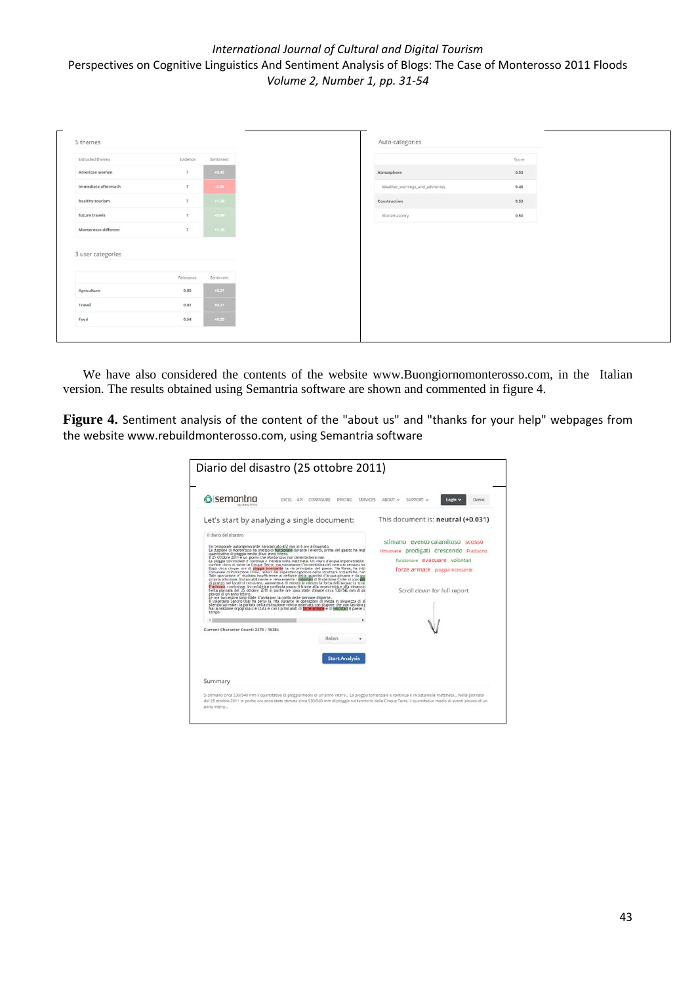| 5 themes             |                |           |
|----------------------|----------------|-----------|
| Extracted themes     | Evidence       | Sentiment |
| American women       | 7              | $+0.45$   |
| immediate aftermath  | $\overline{7}$ | $-2.29$   |
| healthy tourism      | $\overline{7}$ | $+1.20$   |
| future travels       | $\overline{7}$ | $+0.99$   |
| Monterosso different | $\overline{7}$ | $+1.10$   |
| 3 user categories    |                |           |
|                      |                |           |
|                      | Relevance      | Sentiment |
| Agriculture          | 0.85           | $+0.21$   |
| Travel               | 0.81           | $+0.21$   |
| Food                 | 0.54           | $+0.25$   |

We have also considered the contents of the website www.Buongiornomonterosso.com, in the Italian version. The results obtained using Semantria software are shown and commented in figure 4.

**Figure 4.** Sentiment analysis of the content of the "about us" and "thanks for your help" webpages from the website www.rebuildmonterosso.com, using Semantria software

| © semantria                                                                                                                                                                                                                                                                                                                                                                                                                                                                                                                                                                                                                                                                                                                                                                                                                                                                                                                                                                                                                                                                                                                                                                                                                                                                                                                                                                                                                                                                                                                                                                                                                                                   |                                                | <b>GIODODT U</b>                                                                                                                                                                                                                                                                                                               |
|---------------------------------------------------------------------------------------------------------------------------------------------------------------------------------------------------------------------------------------------------------------------------------------------------------------------------------------------------------------------------------------------------------------------------------------------------------------------------------------------------------------------------------------------------------------------------------------------------------------------------------------------------------------------------------------------------------------------------------------------------------------------------------------------------------------------------------------------------------------------------------------------------------------------------------------------------------------------------------------------------------------------------------------------------------------------------------------------------------------------------------------------------------------------------------------------------------------------------------------------------------------------------------------------------------------------------------------------------------------------------------------------------------------------------------------------------------------------------------------------------------------------------------------------------------------------------------------------------------------------------------------------------------------|------------------------------------------------|--------------------------------------------------------------------------------------------------------------------------------------------------------------------------------------------------------------------------------------------------------------------------------------------------------------------------------|
| EXCEL API                                                                                                                                                                                                                                                                                                                                                                                                                                                                                                                                                                                                                                                                                                                                                                                                                                                                                                                                                                                                                                                                                                                                                                                                                                                                                                                                                                                                                                                                                                                                                                                                                                                     | CONFIGURE<br><b>PRICING</b><br><b>SERVICES</b> | ABOUT<br>Login v<br>Demo                                                                                                                                                                                                                                                                                                       |
| Let's start by analyzing a single document:                                                                                                                                                                                                                                                                                                                                                                                                                                                                                                                                                                                                                                                                                                                                                                                                                                                                                                                                                                                                                                                                                                                                                                                                                                                                                                                                                                                                                                                                                                                                                                                                                   |                                                | This document is: neutral (+0.031)                                                                                                                                                                                                                                                                                             |
| Il diario del disastro<br>Un temporale autorigenerante ha scaricato 472 mm in 6 ore a Brugnato.<br>La stazione di Monterosso ha smesso di funzionare durante l'evento, prima del guasto ha regi<br>quantitativo di pioggia medio di un anno intero.<br>8.25 Ottobre 2011 è un giorno che Monterosso non dimenticherà mai.<br>La pioggia torrenziale e continua è iniziata nella mattinata. Un muro d'acqua impenetrabile<br>confine visivo di tutte le Cinque Terre, ma nonostante l'incredibilità del rovescio nessuno im<br>Dopo circa cinque ore di ploggia incessante la via principale del paese. Via Roma, ha inizi<br>Comunale di Protezione Civile, reduci dal repentino sgombro delle strutture scolastiche, har<br>Tale operazione e' risultata insufficiente al defluire della quantità d'acqua piovana e da que<br>propria alluvione, Instancabilmente e velocemente i volontari di Protezione Civile si sono pri<br>di pranzo nei locali si trovavano. Aumentava di minuto in minuto la forza dell'acqua: la strac<br>Frastuono, confusione, incredulità e profonda paura di fronte alla repentinità e alla dimensio<br>Nella giornata del 25 ottobre 2011 in poche ore sono state stimate circa 530/540 mm di più<br>ployosi di un anno intero.<br>Le ore successive sono state d'ansia per la conta delle persone disperse.<br>Il volontario Sandro Usai ha perso la vita durante le operazioni di messa in sicurezza di al<br>silenzio surreale: la portata della distruzione veniva osservata con stupore che non lasciava g<br>Ma la reazione orgoglicoa c'è stata e con i primi aiuti di forze armate e di volontari il paese si<br>tempo. |                                                | stimano evento calamitoso scosso<br>rimuovere prodigati crescendo Frastuono<br>funzionare evacuare volontari<br>forze armate piozgia incessante:<br>Scroll down for full report                                                                                                                                                |
|                                                                                                                                                                                                                                                                                                                                                                                                                                                                                                                                                                                                                                                                                                                                                                                                                                                                                                                                                                                                                                                                                                                                                                                                                                                                                                                                                                                                                                                                                                                                                                                                                                                               |                                                |                                                                                                                                                                                                                                                                                                                                |
| Current Character Count: 2373 / 16384                                                                                                                                                                                                                                                                                                                                                                                                                                                                                                                                                                                                                                                                                                                                                                                                                                                                                                                                                                                                                                                                                                                                                                                                                                                                                                                                                                                                                                                                                                                                                                                                                         |                                                |                                                                                                                                                                                                                                                                                                                                |
|                                                                                                                                                                                                                                                                                                                                                                                                                                                                                                                                                                                                                                                                                                                                                                                                                                                                                                                                                                                                                                                                                                                                                                                                                                                                                                                                                                                                                                                                                                                                                                                                                                                               | Italian<br><b>Start Analysis</b>               |                                                                                                                                                                                                                                                                                                                                |
| Summary                                                                                                                                                                                                                                                                                                                                                                                                                                                                                                                                                                                                                                                                                                                                                                                                                                                                                                                                                                                                                                                                                                                                                                                                                                                                                                                                                                                                                                                                                                                                                                                                                                                       |                                                |                                                                                                                                                                                                                                                                                                                                |
|                                                                                                                                                                                                                                                                                                                                                                                                                                                                                                                                                                                                                                                                                                                                                                                                                                                                                                                                                                                                                                                                                                                                                                                                                                                                                                                                                                                                                                                                                                                                                                                                                                                               |                                                | Si stimano circa 530/540 mm il quantitativo di pioggia medio di un anno intero La pioggia torrenziale e continua è iniziata nella mattinata Nella giornata<br>del 25 ottobre 2011 in poche ore sono state stimate circa 530/540 mm di ploggia sul territorio delle Cinque Terre, il quantitativo medio di eventi piovosi di un |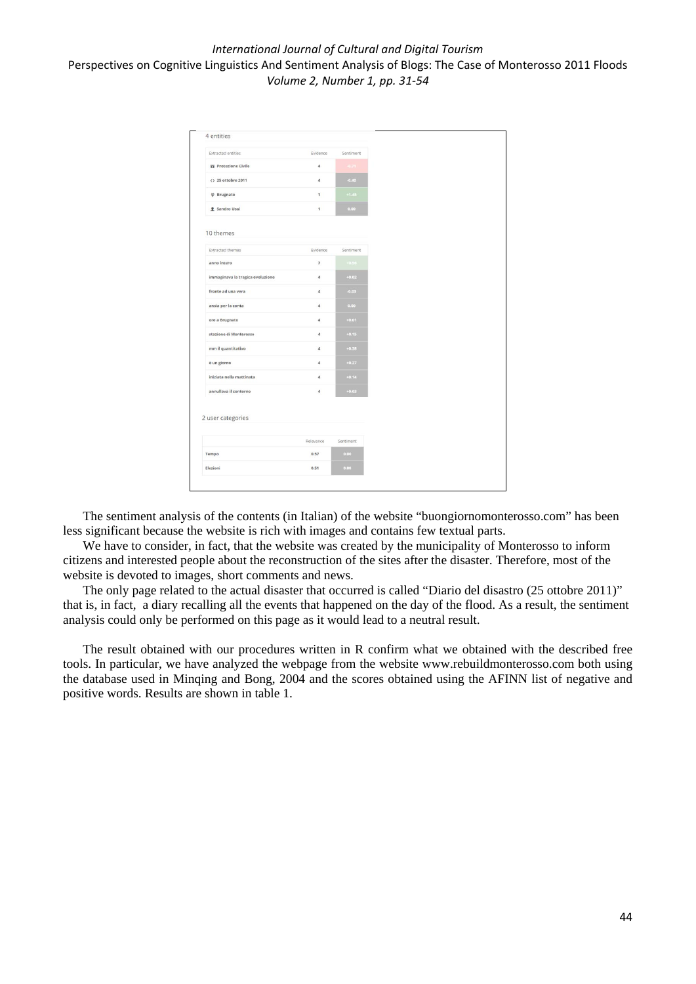| Extracted entities               | Evidence       | Sentiment |
|----------------------------------|----------------|-----------|
| <b>百 Protezione Civile</b>       | $\overline{4}$ | $-0.71$   |
| <> 25 ottobre 2011               | $\overline{4}$ | $-0.40$   |
| <b>Q</b> Brugnato                | $\mathbf{1}$   | $+1.45$   |
| Sandro Usai                      | $\mathbf{1}$   | 0.00      |
| 10 themes                        |                |           |
| <b>Extracted themes</b>          | Evidence       | Sentiment |
| anno intero                      | $\overline{7}$ | $+0.56$   |
| immaginava la tragica evoluzione | $\overline{4}$ | $+0.02$   |
| fronte ad una vera               | $\overline{4}$ | $-0.03$   |
| ansia per la conta               | $\overline{4}$ | $_{0.00}$ |
| ore a Brugnato                   | $\overline{4}$ | $+0.01$   |
| stazione di Monterosso           | $\overline{4}$ | $+0.15$   |
| mm il quantitativo               | $\overline{4}$ | $+0.38$   |
| è un giorno                      | $\overline{4}$ | $+0.27$   |
| iniziata nella mattinata         | $\overline{4}$ | $+0.14$   |
| annullava il contorno            | $\overline{4}$ | $+0.03$   |
| 2 user categories                |                |           |
|                                  | Relevance      | Sentiment |
| Tempo                            | 0.57           | 0.00.     |
| Elezioni                         | 0.51           | 0.00      |

The sentiment analysis of the contents (in Italian) of the website "buongiornomonterosso.com" has been less significant because the website is rich with images and contains few textual parts.

We have to consider, in fact, that the website was created by the municipality of Monterosso to inform citizens and interested people about the reconstruction of the sites after the disaster. Therefore, most of the website is devoted to images, short comments and news.

The only page related to the actual disaster that occurred is called "Diario del disastro (25 ottobre 2011)" that is, in fact, a diary recalling all the events that happened on the day of the flood. As a result, the sentiment analysis could only be performed on this page as it would lead to a neutral result.

The result obtained with our procedures written in R confirm what we obtained with the described free tools. In particular, we have analyzed the webpage from the website www.rebuildmonterosso.com both using the database used in Minqing and Bong, 2004 and the scores obtained using the AFINN list of negative and positive words. Results are shown in table 1.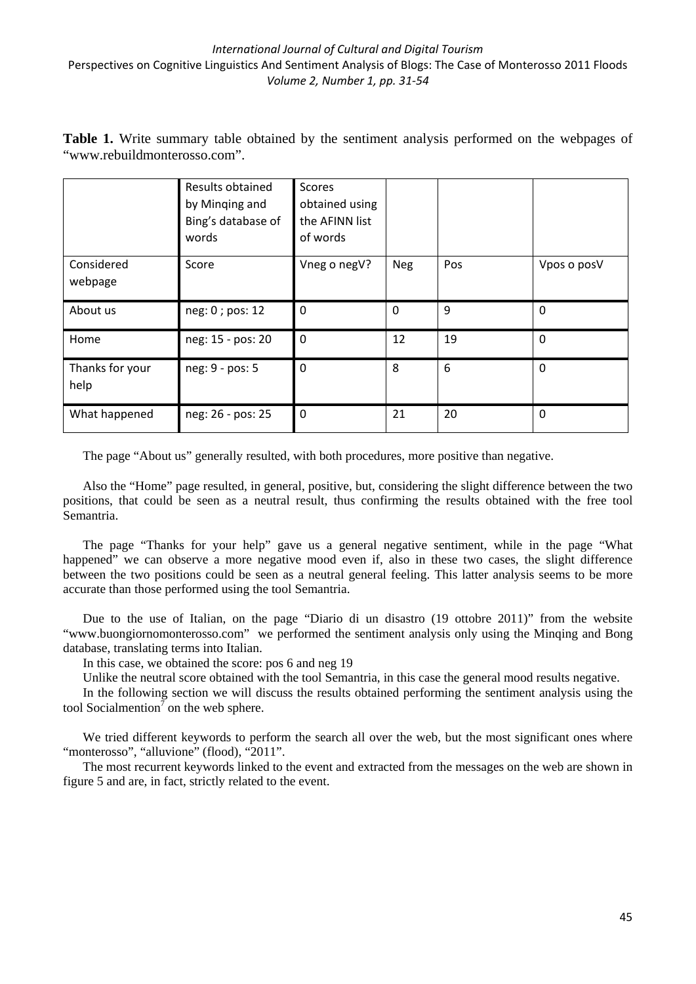**Table 1.** Write summary table obtained by the sentiment analysis performed on the webpages of "www.rebuildmonterosso.com".

|                         | Results obtained<br>by Minging and<br>Bing's database of<br>words | <b>Scores</b><br>obtained using<br>the AFINN list<br>of words |            |     |             |
|-------------------------|-------------------------------------------------------------------|---------------------------------------------------------------|------------|-----|-------------|
| Considered<br>webpage   | Score                                                             | Vneg o negV?                                                  | <b>Neg</b> | Pos | Vpos o posV |
| About us                | neg: 0; pos: 12                                                   | $\Omega$                                                      | $\Omega$   | 9   | $\Omega$    |
| Home                    | neg: 15 - pos: 20                                                 | $\Omega$                                                      | 12         | 19  | $\Omega$    |
| Thanks for your<br>help | neg: 9 - pos: 5                                                   | $\Omega$                                                      | 8          | 6   | $\Omega$    |
| What happened           | neg: 26 - pos: 25                                                 | 0                                                             | 21         | 20  | $\Omega$    |

The page "About us" generally resulted, with both procedures, more positive than negative.

Also the "Home" page resulted, in general, positive, but, considering the slight difference between the two positions, that could be seen as a neutral result, thus confirming the results obtained with the free tool Semantria.

The page "Thanks for your help" gave us a general negative sentiment, while in the page "What happened" we can observe a more negative mood even if, also in these two cases, the slight difference between the two positions could be seen as a neutral general feeling. This latter analysis seems to be more accurate than those performed using the tool Semantria.

Due to the use of Italian, on the page "Diario di un disastro (19 ottobre 2011)" from the website "www.buongiornomonterosso.com" we performed the sentiment analysis only using the Minqing and Bong database, translating terms into Italian.

In this case, we obtained the score: pos 6 and neg 19

Unlike the neutral score obtained with the tool Semantria, in this case the general mood results negative.

In the following section we will discuss the results obtained performing the sentiment analysis using the tool Socialmention<sup>7</sup> on the web sphere.

We tried different keywords to perform the search all over the web, but the most significant ones where "monterosso", "alluvione" (flood), "2011".

The most recurrent keywords linked to the event and extracted from the messages on the web are shown in figure 5 and are, in fact, strictly related to the event.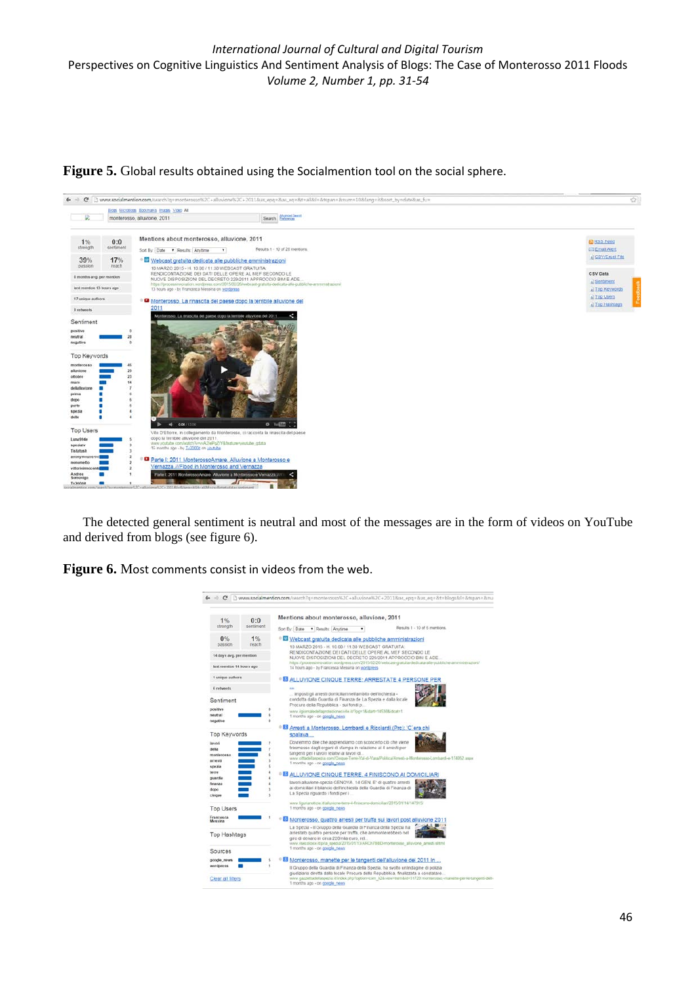### **Figure 5.** Global results obtained using the Socialmention tool on the social sphere.



The detected general sentiment is neutral and most of the messages are in the form of videos on YouTube and derived from blogs (see figure 6).

**Figure 6.** Most comments consist in videos from the web.

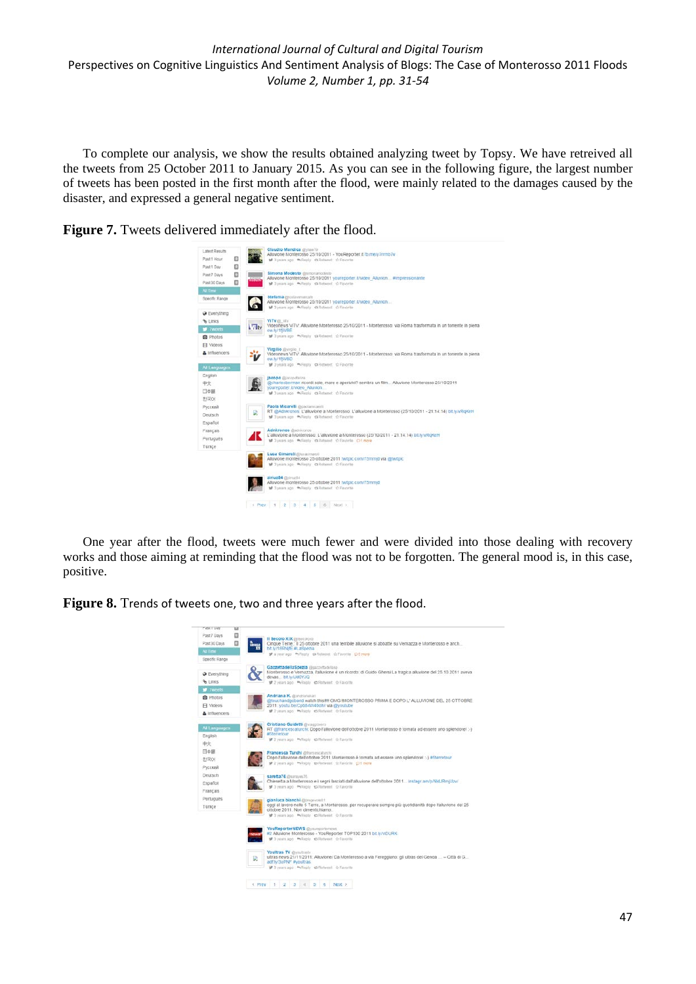To complete our analysis, we show the results obtained analyzing tweet by Topsy. We have retreived all the tweets from 25 October 2011 to January 2015. As you can see in the following figure, the largest number of tweets has been posted in the first month after the flood, were mainly related to the damages caused by the disaster, and expressed a general negative sentiment.





One year after the flood, tweets were much fewer and were divided into those dealing with recovery works and those aiming at reminding that the flood was not to be forgotten. The general mood is, in this case, positive.

**Figure 8.** Trends of tweets one, two and three years after the flood.

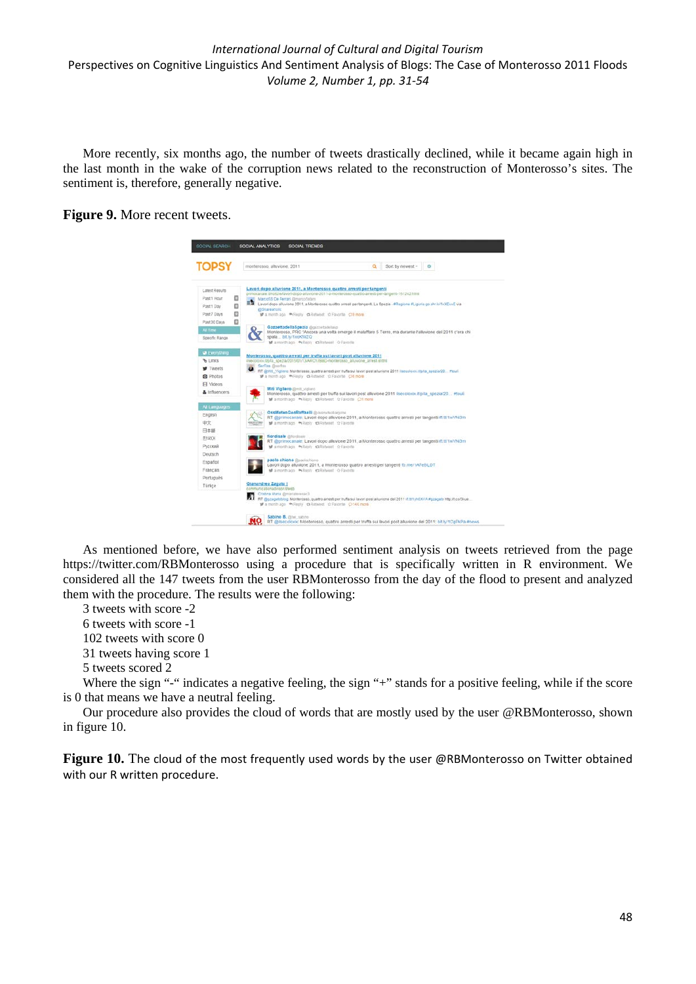More recently, six months ago, the number of tweets drastically declined, while it became again high in the last month in the wake of the corruption news related to the reconstruction of Monterosso's sites. The sentiment is, therefore, generally negative.

### **Figure 9.** More recent tweets.

| <b>TOPSY</b>                                                                         | monterosso, altuvione, 2011                                                                                                                                                                                                                                                                                                                                                                      | a                                                                                                           | Sort by newest - | $^{\circ}$ |
|--------------------------------------------------------------------------------------|--------------------------------------------------------------------------------------------------------------------------------------------------------------------------------------------------------------------------------------------------------------------------------------------------------------------------------------------------------------------------------------------------|-------------------------------------------------------------------------------------------------------------|------------------|------------|
| Latest Results<br>o<br>Past 1 Hour<br>۵<br>Past 1 Day                                | Lavori dopo alluvione 2011, a Monterosso quattro arresti per tangenti<br>primocanale /thotpie/favori-dopo-alluvione-2011-a-monterosso-quattro-arresti-per-tangenti-151242.html<br>MarcoSS De Ferrari @marcoSstars<br>言語<br>Lavori dopo alluvione 2011, a Monterosso qualtro arrest per tangenti, La Spezia - #Regione #Liguria go shr.lc/1xXEuxE via<br>@Shareanong                              |                                                                                                             |                  |            |
| o<br>Past 7 Days<br>o<br>Past 30 Days<br>All Time<br>Specific Range                  | S a month ago M Reply 43 Retweet @ Favorite CS more<br>GazzettadellaSpezia @gazzetadellaso<br>spala bit.ly/fxoKWZQ<br>S a month ago Milleply califatered criticonte                                                                                                                                                                                                                              | Monterosso, PRC "Ancora una volta emerge il malaffare 5 Terre, ma durante l'alluvione del 2011 c'era chi    |                  |            |
| <b>O</b> Everything<br>$%$ Links<br><b>V</b> Tweets<br><b>Q</b> Photos<br>Fil Videos | Monterosso, quattro arresti per truffa sui lavori post alluvione 2011<br>iteccionix itipita_spezia/2015/01/13/ARCh7BBD-monterosso_alluvione_arrest_shtml<br>SerFiss Contrilso<br>RT @MII Vigliero: Monterosso, quatro arrest per trutta sui lavori post alluvione 2011 ilseccioni: (Upña_spezia/20 Flouli<br>M a month ago *ARaphy 43 Retweet @ Favorite CH6 more<br>Miti Vigliero dimiti vidimo |                                                                                                             |                  |            |
| & Influencers<br>All Languages                                                       | S a month ago * Riggly @ Retweet Of Favorite Of more<br>OssMeteoGeoRaffaelli @cosmotocharpohe                                                                                                                                                                                                                                                                                                    | Monterosso, quattro arresti per truffa sui lavori post alluvione 2011 ilsecoloxix.it/p/la_spezia/20. #touti |                  |            |
| English<br>中立<br>日本語                                                                 | Fa month ago MRaply @Ratweet @Favorile<br>fiordisale difordisale                                                                                                                                                                                                                                                                                                                                 | RT @primocanale: Lavori dopo alluvione 2011, a Monterosso quattro arresti per tangenti ilt.tt/twVNi3m       |                  |            |
| 한국어<br>Русский<br>Deutsch                                                            | of a room ago *Neply coRetweet criticonte                                                                                                                                                                                                                                                                                                                                                        | RT @primocanale: Lavori dopo alluvione 2011, a Monterosso quattro arresti per tangenti ift.tt/twVN3m        |                  |            |
| Español<br>Français<br>Português                                                     | paolo chiono dipaciachiano<br>Fa month ago MRsply GRetweet O Favorite                                                                                                                                                                                                                                                                                                                            | Lavori dopo alluvione 2011, a Monterosso quattro arresti per tangenti fo.me/1A7e8ILDT                       |                  |            |
| Türkçe                                                                               | Gianandrea Zagato I<br>communicationadylanr./Meeb<br>Cristina Maria (Imariateresac)<br>RT @gzagatoblog: Monterosso, quatro arresti per truffa sui lavori post alluvione del 2011 in tri yhūXVA #gzagato http://t.co/3kue<br>Fa month ago +Reply 43Retweet of Favorite O14K more                                                                                                                  |                                                                                                             |                  |            |

As mentioned before, we have also performed sentiment analysis on tweets retrieved from the page <https://twitter.com/RBMonterosso> using a procedure that is specifically written in R environment. We considered all the 147 tweets from the user RBMonterosso from the day of the flood to present and analyzed them with the procedure. The results were the following:

3 tweets with score -2

6 tweets with score -1

102 tweets with score 0

31 tweets having score 1

5 tweets scored 2

Where the sign "-" indicates a negative feeling, the sign "+" stands for a positive feeling, while if the score is 0 that means we have a neutral feeling.

Our procedure also provides the cloud of words that are mostly used by the user @RBMonterosso, shown in figure 10.

**Figure 10.** The cloud of the most frequently used words by the user @RBMonterosso on Twitter obtained with our R written procedure.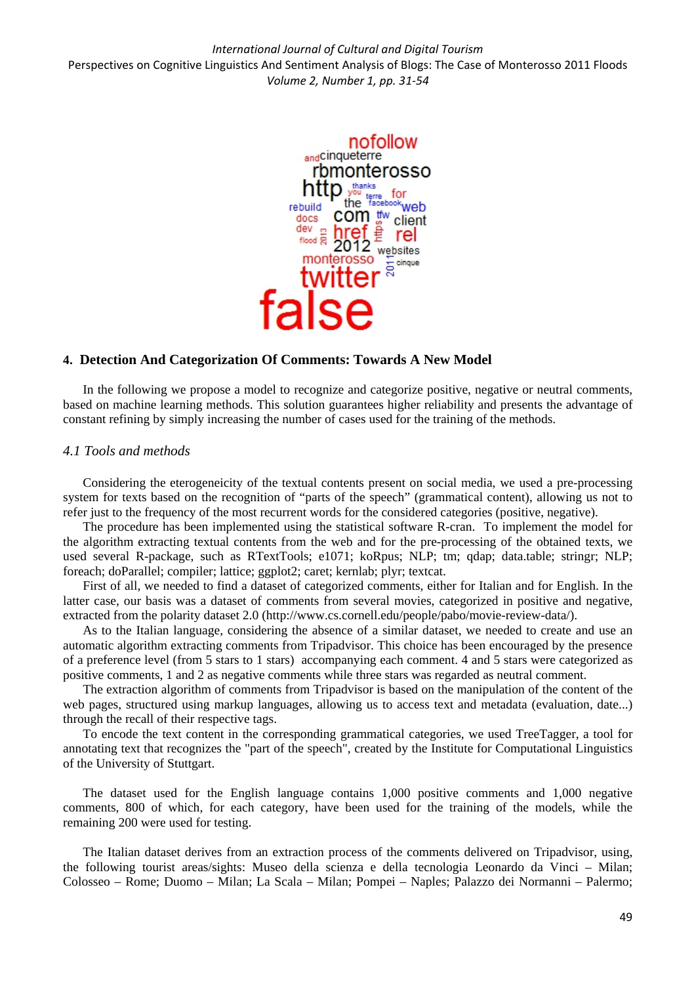

### **4. Detection And Categorization Of Comments: Towards A New Model**

In the following we propose a model to recognize and categorize positive, negative or neutral comments, based on machine learning methods. This solution guarantees higher reliability and presents the advantage of constant refining by simply increasing the number of cases used for the training of the methods.

### *4.1 Tools and methods*

Considering the eterogeneicity of the textual contents present on social media, we used a pre-processing system for texts based on the recognition of "parts of the speech" (grammatical content), allowing us not to refer just to the frequency of the most recurrent words for the considered categories (positive, negative).

The procedure has been implemented using the statistical software R-cran. To implement the model for the algorithm extracting textual contents from the web and for the pre-processing of the obtained texts, we used several R-package, such as RTextTools; e1071; koRpus; NLP; tm; qdap; data.table; stringr; NLP; foreach; doParallel; compiler; lattice; ggplot2; caret; kernlab; plyr; textcat.

First of all, we needed to find a dataset of categorized comments, either for Italian and for English. In the latter case, our basis was a dataset of comments from several movies, categorized in positive and negative, extracted from the polarity dataset 2.0 [\(http://www.cs.cornell.edu/people/pabo/movie-review-data/\)](http://www.cs.cornell.edu/people/pabo/movie-review-data/).

As to the Italian language, considering the absence of a similar dataset, we needed to create and use an automatic algorithm extracting comments from Tripadvisor. This choice has been encouraged by the presence of a preference level (from 5 stars to 1 stars) accompanying each comment. 4 and 5 stars were categorized as positive comments, 1 and 2 as negative comments while three stars was regarded as neutral comment.

The extraction algorithm of comments from Tripadvisor is based on the manipulation of the content of the web pages, structured using markup languages, allowing us to access text and metadata (evaluation, date...) through the recall of their respective tags.

To encode the text content in the corresponding grammatical categories, we used TreeTagger, a tool for annotating text that recognizes the "part of the speech", created by the Institute for Computational Linguistics of the University of Stuttgart.

The dataset used for the English language contains 1,000 positive comments and 1,000 negative comments, 800 of which, for each category, have been used for the training of the models, while the remaining 200 were used for testing.

The Italian dataset derives from an extraction process of the comments delivered on Tripadvisor, using, the following tourist areas/sights: Museo della scienza e della tecnologia Leonardo da Vinci – Milan; Colosseo – Rome; Duomo – Milan; La Scala – Milan; Pompei – Naples; Palazzo dei Normanni – Palermo;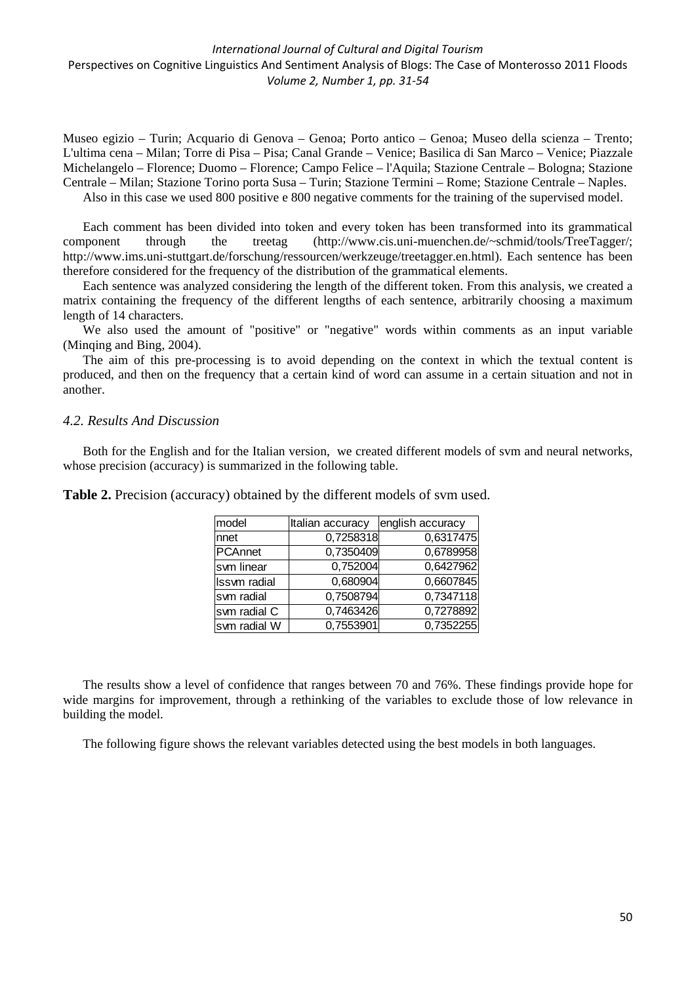Museo egizio – Turin; Acquario di Genova – Genoa; Porto antico – Genoa; Museo della scienza – Trento; L'ultima cena – Milan; Torre di Pisa – Pisa; Canal Grande – Venice; Basilica di San Marco – Venice; Piazzale Michelangelo – Florence; Duomo – Florence; Campo Felice – l'Aquila; Stazione Centrale – Bologna; Stazione Centrale – Milan; Stazione Torino porta Susa – Turin; Stazione Termini – Rome; Stazione Centrale – Naples.

Also in this case we used 800 positive e 800 negative comments for the training of the supervised model.

Each comment has been divided into token and every token has been transformed into its grammatical component through the treetag (http://www.cis.uni-muenchen.de/~schmid/tools/TreeTagger/; http://www.ims.uni-stuttgart.de/forschung/ressourcen/werkzeuge/treetagger.en.html). Each sentence has been therefore considered for the frequency of the distribution of the grammatical elements.

Each sentence was analyzed considering the length of the different token. From this analysis, we created a matrix containing the frequency of the different lengths of each sentence, arbitrarily choosing a maximum length of 14 characters.

We also used the amount of "positive" or "negative" words within comments as an input variable (Minqing and Bing, 2004).

The aim of this pre-processing is to avoid depending on the context in which the textual content is produced, and then on the frequency that a certain kind of word can assume in a certain situation and not in another.

#### *4.2. Results And Discussion*

Both for the English and for the Italian version, we created different models of svm and neural networks, whose precision (accuracy) is summarized in the following table.

| model               | Italian accuracy | english accuracy |
|---------------------|------------------|------------------|
| nnet                | 0,7258318        | 0,6317475        |
| PCAnnet             | 0,7350409        | 0,6789958        |
| svm linear          | 0,752004         | 0,6427962        |
| <b>Issym</b> radial | 0,680904         | 0,6607845        |
| svm radial          | 0,7508794        | 0,7347118        |
| swn radial C        | 0,7463426        | 0,7278892        |
| swm radial W        | 0,7553901        | 0,7352255        |

**Table 2.** Precision (accuracy) obtained by the different models of svm used.

The results show a level of confidence that ranges between 70 and 76%. These findings provide hope for wide margins for improvement, through a rethinking of the variables to exclude those of low relevance in building the model.

The following figure shows the relevant variables detected using the best models in both languages.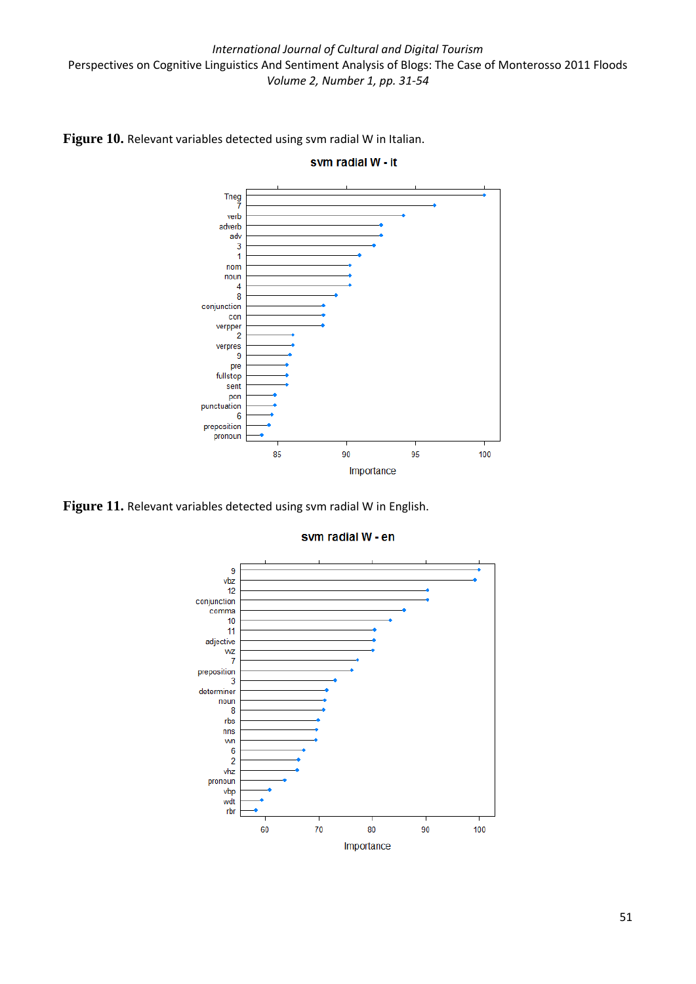

**Figure 10.** Relevant variables detected using svm radial W in Italian.

svm radial W - it

**Figure 11.** Relevant variables detected using svm radial W in English.



svm radial W - en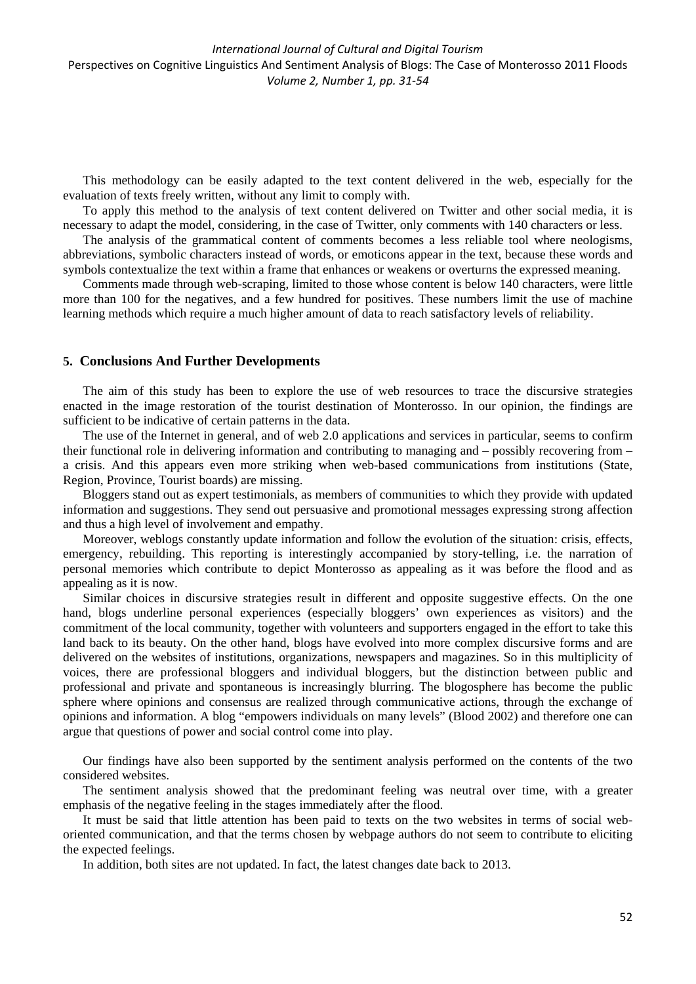This methodology can be easily adapted to the text content delivered in the web, especially for the evaluation of texts freely written, without any limit to comply with.

To apply this method to the analysis of text content delivered on Twitter and other social media, it is necessary to adapt the model, considering, in the case of Twitter, only comments with 140 characters or less.

The analysis of the grammatical content of comments becomes a less reliable tool where neologisms, abbreviations, symbolic characters instead of words, or emoticons appear in the text, because these words and symbols contextualize the text within a frame that enhances or weakens or overturns the expressed meaning.

Comments made through web-scraping, limited to those whose content is below 140 characters, were little more than 100 for the negatives, and a few hundred for positives. These numbers limit the use of machine learning methods which require a much higher amount of data to reach satisfactory levels of reliability.

#### **5. Conclusions And Further Developments**

The aim of this study has been to explore the use of web resources to trace the discursive strategies enacted in the image restoration of the tourist destination of Monterosso. In our opinion, the findings are sufficient to be indicative of certain patterns in the data.

The use of the Internet in general, and of web 2.0 applications and services in particular, seems to confirm their functional role in delivering information and contributing to managing and – possibly recovering from – a crisis. And this appears even more striking when web-based communications from institutions (State, Region, Province, Tourist boards) are missing.

Bloggers stand out as expert testimonials, as members of communities to which they provide with updated information and suggestions. They send out persuasive and promotional messages expressing strong affection and thus a high level of involvement and empathy.

Moreover, weblogs constantly update information and follow the evolution of the situation: crisis, effects, emergency, rebuilding. This reporting is interestingly accompanied by story-telling, i.e. the narration of personal memories which contribute to depict Monterosso as appealing as it was before the flood and as appealing as it is now.

Similar choices in discursive strategies result in different and opposite suggestive effects. On the one hand, blogs underline personal experiences (especially bloggers' own experiences as visitors) and the commitment of the local community, together with volunteers and supporters engaged in the effort to take this land back to its beauty. On the other hand, blogs have evolved into more complex discursive forms and are delivered on the websites of institutions, organizations, newspapers and magazines. So in this multiplicity of voices, there are professional bloggers and individual bloggers, but the distinction between public and professional and private and spontaneous is increasingly blurring. The blogosphere has become the public sphere where opinions and consensus are realized through communicative actions, through the exchange of opinions and information. A blog "empowers individuals on many levels" (Blood 2002) and therefore one can argue that questions of power and social control come into play.

Our findings have also been supported by the sentiment analysis performed on the contents of the two considered websites.

The sentiment analysis showed that the predominant feeling was neutral over time, with a greater emphasis of the negative feeling in the stages immediately after the flood.

It must be said that little attention has been paid to texts on the two websites in terms of social weboriented communication, and that the terms chosen by webpage authors do not seem to contribute to eliciting the expected feelings.

In addition, both sites are not updated. In fact, the latest changes date back to 2013.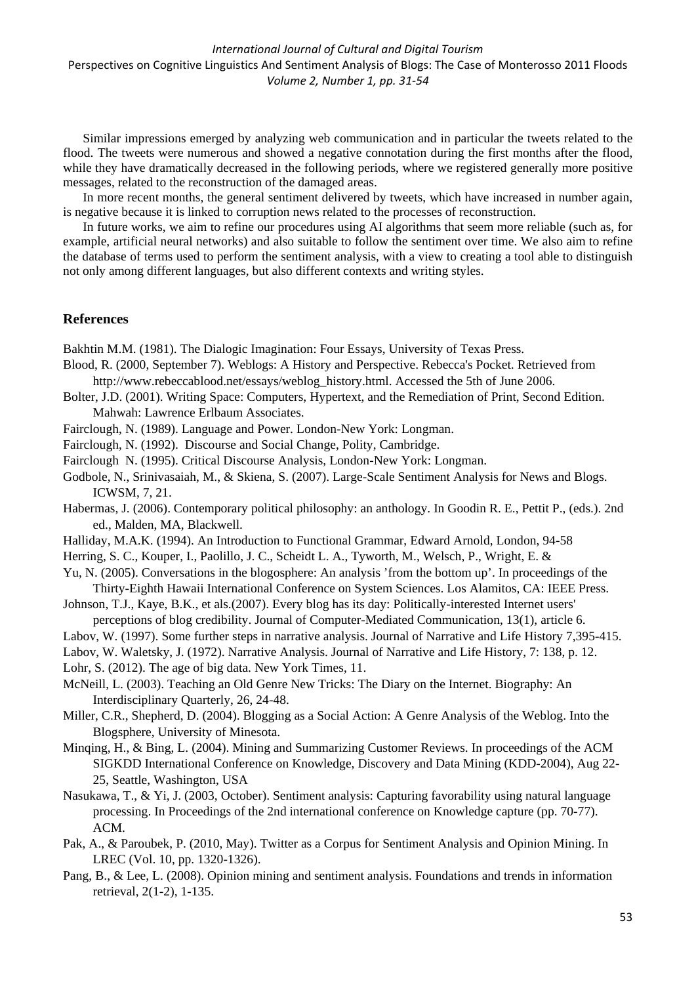Similar impressions emerged by analyzing web communication and in particular the tweets related to the flood. The tweets were numerous and showed a negative connotation during the first months after the flood, while they have dramatically decreased in the following periods, where we registered generally more positive messages, related to the reconstruction of the damaged areas.

In more recent months, the general sentiment delivered by tweets, which have increased in number again, is negative because it is linked to corruption news related to the processes of reconstruction.

In future works, we aim to refine our procedures using AI algorithms that seem more reliable (such as, for example, artificial neural networks) and also suitable to follow the sentiment over time. We also aim to refine the database of terms used to perform the sentiment analysis, with a view to creating a tool able to distinguish not only among different languages, but also different contexts and writing styles.

### **References**

Bakhtin M.M. (1981). The Dialogic Imagination: Four Essays, University of Texas Press.

- Blood, R. (2000, September 7). Weblogs: A History and Perspective. Rebecca's Pocket. Retrieved from http://www.rebeccablood.net/essays/weblog\_history.html. Accessed the 5th of June 2006.
- Bolter, J.D. (2001). Writing Space: Computers, Hypertext, and the Remediation of Print, Second Edition. Mahwah: Lawrence Erlbaum Associates.
- Fairclough, N. (1989). Language and Power. London-New York: Longman.
- Fairclough, N. (1992). Discourse and Social Change, Polity, Cambridge.
- Fairclough N. (1995). Critical Discourse Analysis, London-New York: Longman.
- Godbole, N., Srinivasaiah, M., & Skiena, S. (2007). Large-Scale Sentiment Analysis for News and Blogs. ICWSM, 7, 21.
- Habermas, J. (2006). Contemporary political philosophy: an anthology. In Goodin R. E., Pettit P., (eds.). 2nd ed., Malden, MA, Blackwell.
- Halliday, M.A.K. (1994). An Introduction to Functional Grammar, Edward Arnold, London, 94-58

Herring, S. C., Kouper, I., Paolillo, J. C., Scheidt L. A., Tyworth, M., Welsch, P., Wright, E. &

- Yu, N. (2005). Conversations in the blogosphere: An analysis 'from the bottom up'. In proceedings of the Thirty-Eighth Hawaii International Conference on System Sciences. Los Alamitos, CA: IEEE Press.
- Johnson, T.J., Kaye, B.K., et als.(2007). Every blog has its day: Politically-interested Internet users'
- perceptions of blog credibility. Journal of Computer-Mediated Communication, 13(1), article 6.
- Labov, W. (1997). Some further steps in narrative analysis. Journal of Narrative and Life History 7,395-415.

Labov, W. Waletsky, J. (1972). Narrative Analysis. Journal of Narrative and Life History, 7: 138, p. 12.

Lohr, S. (2012). The age of big data. New York Times, 11.

- McNeill, L. (2003). Teaching an Old Genre New Tricks: The Diary on the Internet. Biography: An Interdisciplinary Quarterly, 26, 24-48.
- Miller, C.R., Shepherd, D. (2004). Blogging as a Social Action: A Genre Analysis of the Weblog. Into the Blogsphere, University of Minesota.
- Minqing, H., & Bing, L. (2004). Mining and Summarizing Customer Reviews. In proceedings of the ACM SIGKDD International Conference on Knowledge, Discovery and Data Mining (KDD-2004), Aug 22- 25, Seattle, Washington, USA
- Nasukawa, T., & Yi, J. (2003, October). Sentiment analysis: Capturing favorability using natural language processing. In Proceedings of the 2nd international conference on Knowledge capture (pp. 70-77). ACM.
- Pak, A., & Paroubek, P. (2010, May). Twitter as a Corpus for Sentiment Analysis and Opinion Mining. In LREC (Vol. 10, pp. 1320-1326).
- Pang, B., & Lee, L. (2008). Opinion mining and sentiment analysis. Foundations and trends in information retrieval, 2(1-2), 1-135.